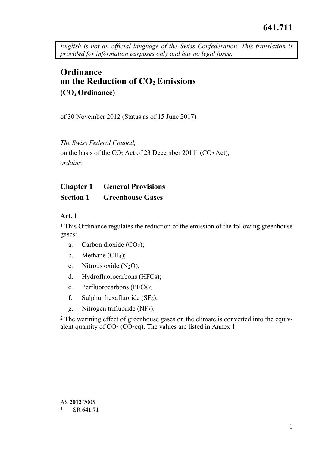*English is not an official language of the Swiss Confederation. This translation is provided for information purposes only and has no legal force.* 

# **Ordinance on the Reduction of CO<sub>2</sub> Emissions (CO2 Ordinance)**

of 30 November 2012 (Status as of 15 June 2017)

*The Swiss Federal Council,*  on the basis of the  $CO<sub>2</sub>$  Act of 23 December 2011<sup>1</sup> ( $CO<sub>2</sub>$  Act), *ordains:* 

# **Chapter 1 General Provisions Section 1 Greenhouse Gases**

#### **Art. 1**

<sup>1</sup> This Ordinance regulates the reduction of the emission of the following greenhouse gases:

- a. Carbon dioxide  $(CO<sub>2</sub>)$ ;
- b. Methane (CH<sub>4</sub>):
- c. Nitrous oxide  $(N_2O)$ ;
- d. Hydrofluorocarbons (HFCs);
- e. Perfluorocarbons (PFCs);
- f. Sulphur hexafluoride  $(SF_6)$ ;
- g. Nitrogen trifluoride (NF3).

2 The warming effect of greenhouse gases on the climate is converted into the equivalent quantity of  $CO<sub>2</sub> (CO<sub>2</sub>eq)$ . The values are listed in Annex 1.

 AS **2012** 7005 1 SR **641.71**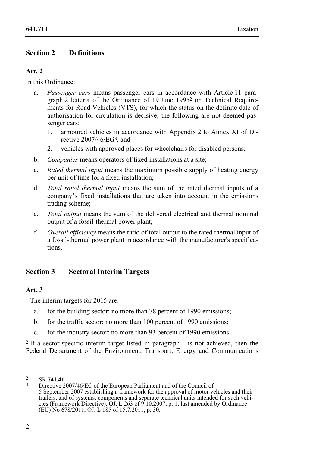# **Section 2 Definitions**

## **Art. 2**

In this Ordinance:

- a. *Passenger cars* means passenger cars in accordance with Article 11 paragraph 2 letter a of the Ordinance of 19 June 19952 on Technical Requirements for Road Vehicles (VTS), for which the status on the definite date of authorisation for circulation is decisive; the following are not deemed passenger cars:
	- 1. armoured vehicles in accordance with Appendix 2 to Annex XI of Directive 2007/46/EG3, and
	- 2. vehicles with approved places for wheelchairs for disabled persons;
- b. *Companies* means operators of fixed installations at a site;
- c. *Rated thermal input* means the maximum possible supply of heating energy per unit of time for a fixed installation;
- d. *Total rated thermal input* means the sum of the rated thermal inputs of a company's fixed installations that are taken into account in the emissions trading scheme;
- e. *Total output* means the sum of the delivered electrical and thermal nominal output of a fossil-thermal power plant;
- f. *Overall efficiency* means the ratio of total output to the rated thermal input of a fossil-thermal power plant in accordance with the manufacturer's specifications.

# **Section 3 Sectoral Interim Targets**

# **Art. 3**

1 The interim targets for 2015 are:

- a. for the building sector: no more than 78 percent of 1990 emissions;
- b. for the traffic sector: no more than 100 percent of 1990 emissions;
- c. for the industry sector: no more than 93 percent of 1990 emissions.

2 If a sector-specific interim target listed in paragraph 1 is not achieved, then the Federal Department of the Environment, Transport, Energy and Communications

 $\mathfrak{D}$ 

<sup>2</sup> SR **741.41** 3 Directive 2007/46/EC of the European Parliament and of the Council of 5 September 2007 establishing a framework for the approval of motor vehicles and their trailers, and of systems, components and separate technical units intended for such vehicles (Framework Directive), OJ. L 263 of 9.10.2007, p. 1; last amended by Ordinance (EU) No 678/2011, OJ. L 185 of 15.7.2011, p. 30.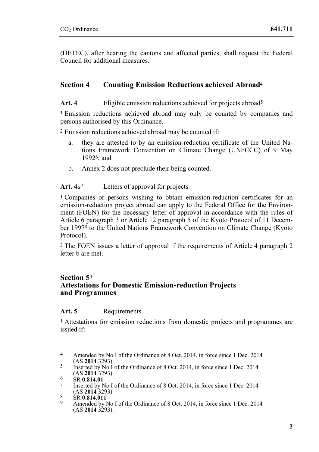(DETEC), after hearing the cantons and affected parties, shall request the Federal Council for additional measures.

# **Section 4 Counting Emission Reductions achieved Abroad**<sup>4</sup>

Art. 4 **Eligible emission reductions achieved for projects abroad<sup>5</sup>** 

1 Emission reductions achieved abroad may only be counted by companies and persons authorised by this Ordinance.

2 Emission reductions achieved abroad may be counted if:

- a. they are attested to by an emission-reduction certificate of the United Nations Framework Convention on Climate Change (UNFCCC) of 9 May 19926; and
- b. Annex 2 does not preclude their being counted.

## **Art. 4***a*7 Letters of approval for projects

1 Companies or persons wishing to obtain emission-reduction certificates for an emission-reduction project abroad can apply to the Federal Office for the Environment (FOEN) for the necessary letter of approval in accordance with the rules of Article 6 paragraph 3 or Article 12 paragraph 5 of the Kyoto Protocol of 11 December 19978 to the United Nations Framework Convention on Climate Change (Kyoto Protocol).

2 The FOEN issues a letter of approval if the requirements of Article 4 paragraph 2 letter b are met.

# **Section 5**<sup>9</sup> **Attestations for Domestic Emission-reduction Projects and Programmes**

## Art. 5 Requirements

<sup>1</sup> Attestations for emission reductions from domestic projects and programmes are issued if:

 $\overline{4}$ Amended by No I of the Ordinance of 8 Oct. 2014, in force since 1 Dec. 2014 (AS 2014 3293).

<sup>&</sup>lt;sup>5</sup><br>Inserted by No I of the Ordinance of 8 Oct. 2014, in force since 1 Dec. 2014<br>(AS **2014** 3293).

<sup>&</sup>lt;sup>6</sup> SR **0.814.01**<br><sup>7</sup> Inserted by No I of the Ordinance of 8 Oct. 2014, in force since 1 Dec. 2014<br>(AS **2014** 3293).

<sup>&</sup>lt;sup>8</sup> SR **0.814.011**<br><sup>9</sup> Amended by No I of the Ordinance of 8 Oct. 2014, in force since 1 Dec. 2014  $(AS 2014 3293).$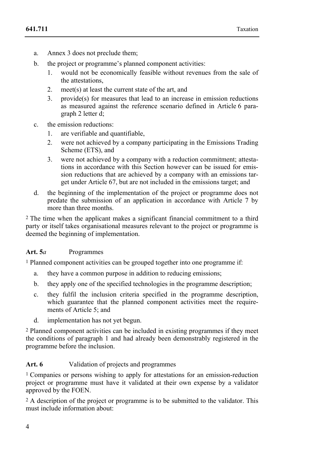- a. Annex 3 does not preclude them;
- b. the project or programme's planned component activities:
	- 1. would not be economically feasible without revenues from the sale of the attestations,
	- 2. meet(s) at least the current state of the art, and
	- 3. provide(s) for measures that lead to an increase in emission reductions as measured against the reference scenario defined in Article 6 paragraph 2 letter d;
- c. the emission reductions:
	- 1. are verifiable and quantifiable,
	- 2. were not achieved by a company participating in the Emissions Trading Scheme (ETS), and
	- 3. were not achieved by a company with a reduction commitment; attestations in accordance with this Section however can be issued for emission reductions that are achieved by a company with an emissions target under Article 67, but are not included in the emissions target; and
- d. the beginning of the implementation of the project or programme does not predate the submission of an application in accordance with Article 7 by more than three months.

2 The time when the applicant makes a significant financial commitment to a third party or itself takes organisational measures relevant to the project or programme is deemed the beginning of implementation.

# **Art. 5***a* Programmes

1 Planned component activities can be grouped together into one programme if:

- a. they have a common purpose in addition to reducing emissions;
- b. they apply one of the specified technologies in the programme description;
- c. they fulfil the inclusion criteria specified in the programme description, which guarantee that the planned component activities meet the requirements of Article 5; and
- d. implementation has not yet begun.

2 Planned component activities can be included in existing programmes if they meet the conditions of paragraph 1 and had already been demonstrably registered in the programme before the inclusion.

## **Art. 6** Validation of projects and programmes

1 Companies or persons wishing to apply for attestations for an emission-reduction project or programme must have it validated at their own expense by a validator approved by the FOEN.

2 A description of the project or programme is to be submitted to the validator. This must include information about: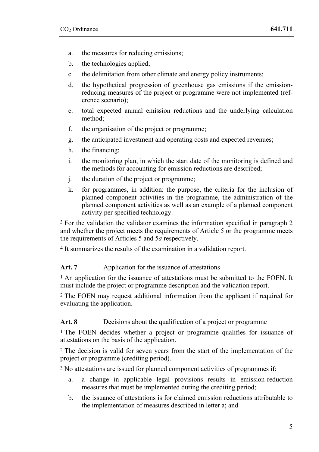- a. the measures for reducing emissions;
- b. the technologies applied;
- c. the delimitation from other climate and energy policy instruments;
- d. the hypothetical progression of greenhouse gas emissions if the emissionreducing measures of the project or programme were not implemented (reference scenario);
- e. total expected annual emission reductions and the underlying calculation method;
- f. the organisation of the project or programme;
- g. the anticipated investment and operating costs and expected revenues;
- h. the financing;
- i. the monitoring plan, in which the start date of the monitoring is defined and the methods for accounting for emission reductions are described;
- j. the duration of the project or programme;
- k. for programmes, in addition: the purpose, the criteria for the inclusion of planned component activities in the programme, the administration of the planned component activities as well as an example of a planned component activity per specified technology.

3 For the validation the validator examines the information specified in paragraph 2 and whether the project meets the requirements of Article 5 or the programme meets the requirements of Articles 5 and 5*a* respectively.

4 It summarizes the results of the examination in a validation report.

#### Art. 7 Application for the issuance of attestations

<sup>1</sup> An application for the issuance of attestations must be submitted to the FOEN. It must include the project or programme description and the validation report.

2 The FOEN may request additional information from the applicant if required for evaluating the application.

#### Art. 8 Decisions about the qualification of a project or programme

1 The FOEN decides whether a project or programme qualifies for issuance of attestations on the basis of the application.

2 The decision is valid for seven years from the start of the implementation of the project or programme (crediting period).

3 No attestations are issued for planned component activities of programmes if:

- a. a change in applicable legal provisions results in emission-reduction measures that must be implemented during the crediting period;
- b. the issuance of attestations is for claimed emission reductions attributable to the implementation of measures described in letter a; and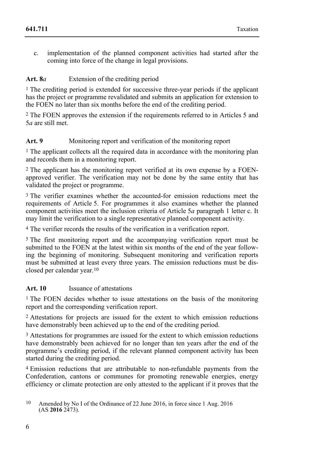c. implementation of the planned component activities had started after the coming into force of the change in legal provisions.

# Art. 8*a* Extension of the crediting period

1 The crediting period is extended for successive three-year periods if the applicant has the project or programme revalidated and submits an application for extension to the FOEN no later than six months before the end of the crediting period.

2 The FOEN approves the extension if the requirements referred to in Articles 5 and 5*a* are still met.

# Art. 9 Monitoring report and verification of the monitoring report

<sup>1</sup> The applicant collects all the required data in accordance with the monitoring plan and records them in a monitoring report.

<sup>2</sup> The applicant has the monitoring report verified at its own expense by a FOENapproved verifier. The verification may not be done by the same entity that has validated the project or programme.

<sup>3</sup> The verifier examines whether the accounted-for emission reductions meet the requirements of Article 5. For programmes it also examines whether the planned component activities meet the inclusion criteria of Article 5*a* paragraph 1 letter c. It may limit the verification to a single representative planned component activity.

4 The verifier records the results of the verification in a verification report.

5 The first monitoring report and the accompanying verification report must be submitted to the FOEN at the latest within six months of the end of the year following the beginning of monitoring. Subsequent monitoring and verification reports must be submitted at least every three years. The emission reductions must be disclosed per calendar year.10

# **Art. 10** Issuance of attestations

<sup>1</sup> The FOEN decides whether to issue attestations on the basis of the monitoring report and the corresponding verification report.

2 Attestations for projects are issued for the extent to which emission reductions have demonstrably been achieved up to the end of the crediting period.

<sup>3</sup> Attestations for programmes are issued for the extent to which emission reductions have demonstrably been achieved for no longer than ten years after the end of the programme's crediting period, if the relevant planned component activity has been started during the crediting period.

4 Emission reductions that are attributable to non-refundable payments from the Confederation, cantons or communes for promoting renewable energies, energy efficiency or climate protection are only attested to the applicant if it proves that the

<sup>10</sup> Amended by No I of the Ordinance of 22 June 2016, in force since 1 Aug. 2016 (AS **2016** 2473).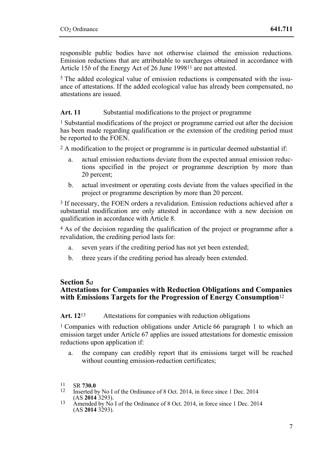responsible public bodies have not otherwise claimed the emission reductions. Emission reductions that are attributable to surcharges obtained in accordance with Article 15*b* of the Energy Act of 26 June 1998<sup>11</sup> are not attested.

<sup>5</sup> The added ecological value of emission reductions is compensated with the issuance of attestations. If the added ecological value has already been compensated, no attestations are issued.

## Art. 11 Substantial modifications to the project or programme

1 Substantial modifications of the project or programme carried out after the decision has been made regarding qualification or the extension of the crediting period must be reported to the FOEN.

2 A modification to the project or programme is in particular deemed substantial if:

- a. actual emission reductions deviate from the expected annual emission reductions specified in the project or programme description by more than 20 percent;
- b. actual investment or operating costs deviate from the values specified in the project or programme description by more than 20 percent.

3 If necessary, the FOEN orders a revalidation. Emission reductions achieved after a substantial modification are only attested in accordance with a new decision on qualification in accordance with Article 8.

4 As of the decision regarding the qualification of the project or programme after a revalidation, the crediting period lasts for:

- a. seven years if the crediting period has not yet been extended;
- b. three years if the crediting period has already been extended.

# **Section 5***a*

# **Attestations for Companies with Reduction Obligations and Companies with Emissions Targets for the Progression of Energy Consumption**<sup>12</sup>

## Art. 12<sup>13</sup> Attestations for companies with reduction obligations

1 Companies with reduction obligations under Article 66 paragraph 1 to which an emission target under Article 67 applies are issued attestations for domestic emission reductions upon application if:

a. the company can credibly report that its emissions target will be reached without counting emission-reduction certificates;

- 11 SR **730.0**<br><sup>12</sup> Inserted by No I of the Ordinance of 8 Oct. 2014, in force since 1 Dec. 2014<br>(AS **2014** 3293).
- <sup>13</sup> Amended by No I of the Ordinance of 8 Oct. 2014, in force since 1 Dec. 2014  $(AS 2014 3293).$

 $11$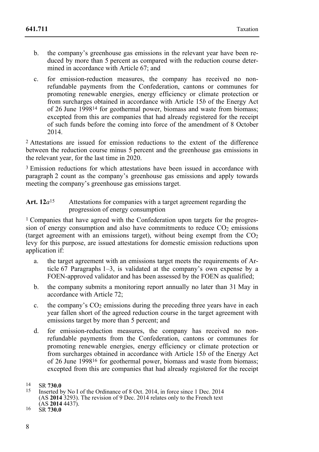- b. the company's greenhouse gas emissions in the relevant year have been reduced by more than 5 percent as compared with the reduction course determined in accordance with Article 67; and
- c. for emission-reduction measures, the company has received no nonrefundable payments from the Confederation, cantons or communes for promoting renewable energies, energy efficiency or climate protection or from surcharges obtained in accordance with Article 15*b* of the Energy Act of 26 June 199814 for geothermal power, biomass and waste from biomass; excepted from this are companies that had already registered for the receipt of such funds before the coming into force of the amendment of 8 October 2014.

2 Attestations are issued for emission reductions to the extent of the difference between the reduction course minus 5 percent and the greenhouse gas emissions in the relevant year, for the last time in 2020.

<sup>3</sup> Emission reductions for which attestations have been issued in accordance with paragraph 2 count as the company's greenhouse gas emissions and apply towards meeting the company's greenhouse gas emissions target.

#### Art. 12*a*<sup>15</sup> Attestations for companies with a target agreement regarding the progression of energy consumption

<sup>1</sup> Companies that have agreed with the Confederation upon targets for the progression of energy consumption and also have commitments to reduce  $CO<sub>2</sub>$  emissions (target agreement with an emissions target), without being exempt from the  $CO<sub>2</sub>$ levy for this purpose, are issued attestations for domestic emission reductions upon application if:

- a. the target agreement with an emissions target meets the requirements of Article 67 Paragraphs 1–3, is validated at the company's own expense by a FOEN-approved validator and has been assessed by the FOEN as qualified;
- b. the company submits a monitoring report annually no later than 31 May in accordance with Article 72;
- c. the company's  $CO<sub>2</sub>$  emissions during the preceding three years have in each year fallen short of the agreed reduction course in the target agreement with emissions target by more than 5 percent; and
- d. for emission-reduction measures, the company has received no nonrefundable payments from the Confederation, cantons or communes for promoting renewable energies, energy efficiency or climate protection or from surcharges obtained in accordance with Article 15*b* of the Energy Act of 26 June 199816 for geothermal power, biomass and waste from biomass; excepted from this are companies that had already registered for the receipt

 $14$ 

<sup>&</sup>lt;sup>14</sup> SR **730.0**<br><sup>15</sup> Inserted by No I of the Ordinance of 8 Oct. 2014, in force since 1 Dec. 2014 (AS **2014** 3293). The revision of 9 Dec. 2014 relates only to the French text (AS **2014** 4437). 16 SR **730.0**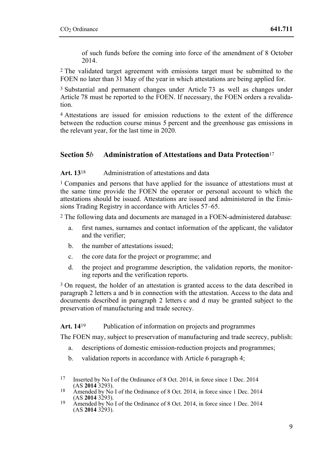of such funds before the coming into force of the amendment of 8 October 2014.

2 The validated target agreement with emissions target must be submitted to the FOEN no later than 31 May of the year in which attestations are being applied for.

3 Substantial and permanent changes under Article 73 as well as changes under Article 78 must be reported to the FOEN. If necessary, the FOEN orders a revalidation.

4 Attestations are issued for emission reductions to the extent of the difference between the reduction course minus 5 percent and the greenhouse gas emissions in the relevant year, for the last time in 2020.

# **Section 5***b* **Administration of Attestations and Data Protection**<sup>17</sup>

#### Art. 13<sup>18</sup> Administration of attestations and data

1 Companies and persons that have applied for the issuance of attestations must at the same time provide the FOEN the operator or personal account to which the attestations should be issued. Attestations are issued and administered in the Emissions Trading Registry in accordance with Articles 57–65.

2 The following data and documents are managed in a FOEN-administered database:

- a. first names, surnames and contact information of the applicant, the validator and the verifier;
- b. the number of attestations issued;
- c. the core data for the project or programme; and
- d. the project and programme description, the validation reports, the monitoring reports and the verification reports.

<sup>3</sup> On request, the holder of an attestation is granted access to the data described in paragraph 2 letters a and b in connection with the attestation. Access to the data and documents described in paragraph 2 letters c and d may be granted subject to the preservation of manufacturing and trade secrecy.

#### Art. 14<sup>19</sup> Publication of information on projects and programmes

The FOEN may, subject to preservation of manufacturing and trade secrecy, publish:

- a. descriptions of domestic emission-reduction projects and programmes;
- b. validation reports in accordance with Article 6 paragraph 4;

 $17$ Inserted by No I of the Ordinance of 8 Oct. 2014, in force since 1 Dec. 2014 (AS 2014 3293).

<sup>&</sup>lt;sup>18</sup> Amended by No I of the Ordinance of 8 Oct. 2014, in force since 1 Dec. 2014 (AS **2014** 3293).

<sup>&</sup>lt;sup>19</sup> Amended by No I of the Ordinance of 8 Oct. 2014, in force since 1 Dec. 2014  $(AS 2014 3293).$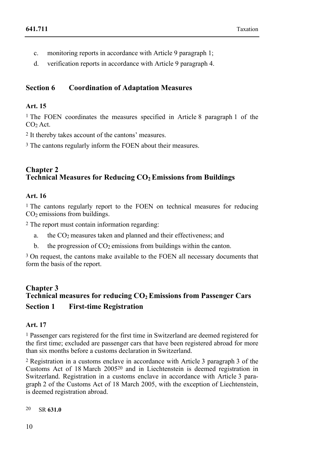- c. monitoring reports in accordance with Article 9 paragraph 1;
- d. verification reports in accordance with Article 9 paragraph 4.

# **Section 6 Coordination of Adaptation Measures**

#### **Art. 15**

1 The FOEN coordinates the measures specified in Article 8 paragraph 1 of the  $CO<sub>2</sub>$  Act.

2 It thereby takes account of the cantons' measures.

<sup>3</sup> The cantons regularly inform the FOEN about their measures.

# **Chapter 2 Technical Measures for Reducing CO2 Emissions from Buildings**

## **Art. 16**

1 The cantons regularly report to the FOEN on technical measures for reducing CO2 emissions from buildings.

2 The report must contain information regarding:

- a. the CO2 measures taken and planned and their effectiveness; and
- b. the progression of  $CO<sub>2</sub>$  emissions from buildings within the canton.

3 On request, the cantons make available to the FOEN all necessary documents that form the basis of the report.

# **Chapter 3**  Technical measures for reducing CO<sub>2</sub> Emissions from Passenger Cars **Section 1 First-time Registration**

#### **Art. 17**

1 Passenger cars registered for the first time in Switzerland are deemed registered for the first time; excluded are passenger cars that have been registered abroad for more than six months before a customs declaration in Switzerland.

2 Registration in a customs enclave in accordance with Article 3 paragraph 3 of the Customs Act of 18 March 200520 and in Liechtenstein is deemed registration in Switzerland. Registration in a customs enclave in accordance with Article 3 paragraph 2 of the Customs Act of 18 March 2005, with the exception of Liechtenstein, is deemed registration abroad.

20 20 SR **631.0**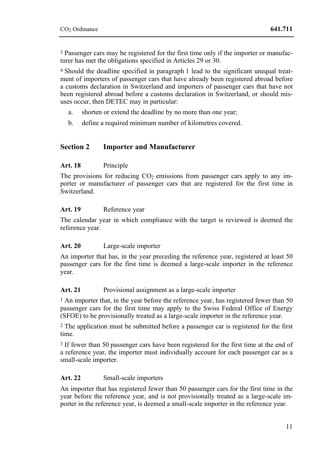3 Passenger cars may be registered for the first time only if the importer or manufacturer has met the obligations specified in Articles 29 or 30.

4 Should the deadline specified in paragraph 1 lead to the significant unequal treatment of importers of passenger cars that have already been registered abroad before a customs declaration in Switzerland and importers of passenger cars that have not been registered abroad before a customs declaration in Switzerland, or should misuses occur, then DETEC may in particular:

- a. shorten or extend the deadline by no more than one year;
- b. define a required minimum number of kilometres covered.

# **Section 2 Importer and Manufacturer**

#### **Art. 18** Principle

The provisions for reducing  $CO<sub>2</sub>$  emissions from passenger cars apply to any importer or manufacturer of passenger cars that are registered for the first time in Switzerland.

#### **Art. 19** Reference year

The calendar year in which compliance with the target is reviewed is deemed the reference year.

#### **Art. 20** Large-scale importer

An importer that has, in the year preceding the reference year, registered at least 50 passenger cars for the first time is deemed a large-scale importer in the reference year.

#### Art. 21 Provisional assignment as a large-scale importer

<sup>1</sup> An importer that, in the year before the reference year, has registered fewer than 50 passenger cars for the first time may apply to the Swiss Federal Office of Energy (SFOE) to be provisionally treated as a large-scale importer in the reference year.

2 The application must be submitted before a passenger car is registered for the first time.

3 If fewer than 50 passenger cars have been registered for the first time at the end of a reference year, the importer must individually account for each passenger car as a small-scale importer.

#### **Art. 22** Small-scale importers

An importer that has registered fewer than 50 passenger cars for the first time in the year before the reference year, and is not provisionally treated as a large-scale importer in the reference year, is deemed a small-scale importer in the reference year.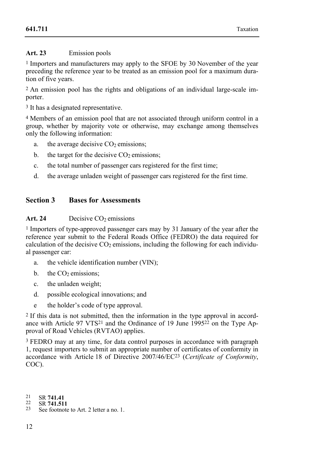# **Art. 23** Emission pools

1 Importers and manufacturers may apply to the SFOE by 30 November of the year preceding the reference year to be treated as an emission pool for a maximum duration of five years.

2 An emission pool has the rights and obligations of an individual large-scale importer.

3 It has a designated representative.

4 Members of an emission pool that are not associated through uniform control in a group, whether by majority vote or otherwise, may exchange among themselves only the following information:

- a. the average decisive  $CO<sub>2</sub>$  emissions;
- b. the target for the decisive  $CO<sub>2</sub>$  emissions;
- c. the total number of passenger cars registered for the first time;
- d. the average unladen weight of passenger cars registered for the first time.

# **Section 3 Bases for Assessments**

#### Art. 24 Decisive CO<sub>2</sub> emissions

1 Importers of type-approved passenger cars may by 31 January of the year after the reference year submit to the Federal Roads Office (FEDRO) the data required for calculation of the decisive  $CO<sub>2</sub>$  emissions, including the following for each individual passenger car:

- a. the vehicle identification number (VIN);
- b. the  $CO<sub>2</sub>$  emissions;
- c. the unladen weight;
- d. possible ecological innovations; and
- e the holder's code of type approval.

2 If this data is not submitted, then the information in the type approval in accordance with Article 97 VTS21 and the Ordinance of 19 June 199522 on the Type Approval of Road Vehicles (RVTAO) applies.

3 FEDRO may at any time, for data control purposes in accordance with paragraph 1, request importers to submit an appropriate number of certificates of conformity in accordance with Article 18 of Directive 2007/46/EC23 (*Certificate of Conformity*, COC).

- 21
- 

<sup>21</sup> SR **741.41** 22 SR **741.511** 23 See footnote to Art. 2 letter a no. 1.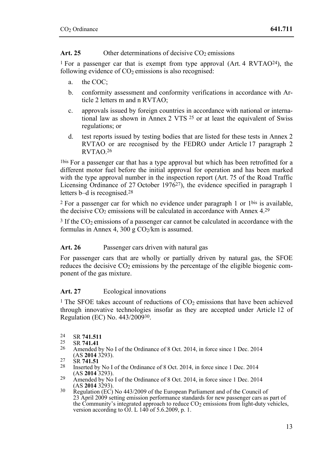## Art. 25 Other determinations of decisive CO<sub>2</sub> emissions

1 For a passenger car that is exempt from type approval (Art. 4 RVTAO24), the following evidence of  $CO<sub>2</sub>$  emissions is also recognised:

- a. the COC;
- b. conformity assessment and conformity verifications in accordance with Article 2 letters m and n RVTAO;
- c. approvals issued by foreign countries in accordance with national or international law as shown in Annex 2 VTS 25 or at least the equivalent of Swiss regulations; or
- d. test reports issued by testing bodies that are listed for these tests in Annex 2 RVTAO or are recognised by the FEDRO under Article 17 paragraph 2 RVTAO.26

1bis For a passenger car that has a type approval but which has been retrofitted for a different motor fuel before the initial approval for operation and has been marked with the type approval number in the inspection report (Art. 75 of the Road Traffic Licensing Ordinance of 27 October 197627), the evidence specified in paragraph 1 letters b–d is recognised.28

2 For a passenger car for which no evidence under paragraph 1 or 1bis is available, the decisive  $CO<sub>2</sub>$  emissions will be calculated in accordance with Annex  $4.29$ 

 $3$  If the CO<sub>2</sub> emissions of a passenger car cannot be calculated in accordance with the formulas in Annex 4, 300 g  $CO<sub>2</sub>/km$  is assumed.

## Art. 26 Passenger cars driven with natural gas

For passenger cars that are wholly or partially driven by natural gas, the SFOE reduces the decisive  $CO<sub>2</sub>$  emissions by the percentage of the eligible biogenic component of the gas mixture.

# Art. 27 Ecological innovations

<sup>1</sup> The SFOE takes account of reductions of  $CO<sub>2</sub>$  emissions that have been achieved through innovative technologies insofar as they are accepted under Article 12 of Regulation (EC) No. 443/200930.

- 
- 
- 24 SR **741.511**<br>
25 SR **741.41**<br>
26 Amended by No I of the Ordinance of 8 Oct. 2014, in force since 1 Dec. 2014<br>
(AS **2014** 3293).
- 
- 27 SR **741.51**<br><sup>28</sup> Inserted by No I of the Ordinance of 8 Oct. 2014, in force since 1 Dec. 2014<br>(AS **2014** 3293).
- 29 Amended by No I of the Ordinance of 8 Oct. 2014, in force since 1 Dec. 2014 (AS 2014 3293).
- <sup>30</sup> Regulation (EC) No 443/2009 of the European Parliament and of the Council of 23 April 2009 setting emission performance standards for new passenger cars as part of the Community's integrated approach to reduce  $CO<sub>2</sub>$  emissions from light-duty vehicles. version according to  $\tilde{O}$ . L 140 of 5.6.2009, p. 1.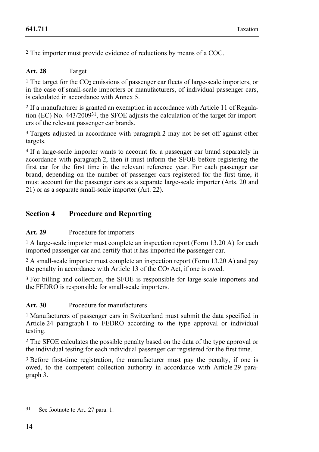2 The importer must provide evidence of reductions by means of a COC.

# **Art. 28** Target

<sup>1</sup> The target for the  $CO<sub>2</sub>$  emissions of passenger car fleets of large-scale importers, or in the case of small-scale importers or manufacturers, of individual passenger cars, is calculated in accordance with Annex 5.

2 If a manufacturer is granted an exemption in accordance with Article 11 of Regulation (EC) No. 443/200931, the SFOE adjusts the calculation of the target for importers of the relevant passenger car brands.

<sup>3</sup> Targets adjusted in accordance with paragraph 2 may not be set off against other targets.

4 If a large-scale importer wants to account for a passenger car brand separately in accordance with paragraph 2, then it must inform the SFOE before registering the first car for the first time in the relevant reference year. For each passenger car brand, depending on the number of passenger cars registered for the first time, it must account for the passenger cars as a separate large-scale importer (Arts. 20 and 21) or as a separate small-scale importer (Art. 22).

# **Section 4 Procedure and Reporting**

## **Art. 29** Procedure for importers

1 A large-scale importer must complete an inspection report (Form 13.20 A) for each imported passenger car and certify that it has imported the passenger car.

2 A small-scale importer must complete an inspection report (Form 13.20 A) and pay the penalty in accordance with Article 13 of the  $CO<sub>2</sub>$  Act, if one is owed.

3 For billing and collection, the SFOE is responsible for large-scale importers and the FEDRO is responsible for small-scale importers.

## **Art. 30** Procedure for manufacturers

1 Manufacturers of passenger cars in Switzerland must submit the data specified in Article 24 paragraph 1 to FEDRO according to the type approval or individual testing.

2 The SFOE calculates the possible penalty based on the data of the type approval or the individual testing for each individual passenger car registered for the first time.

3 Before first-time registration, the manufacturer must pay the penalty, if one is owed, to the competent collection authority in accordance with Article 29 paragraph 3.

<sup>31</sup> See footnote to Art. 27 para. 1.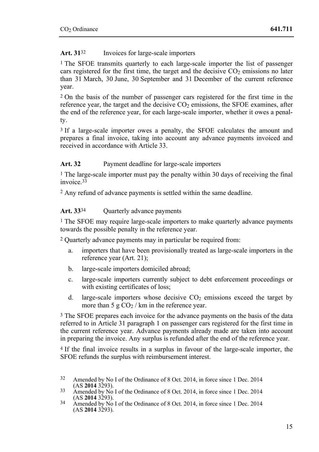# **Art. 31**32 Invoices for large-scale importers

1 The SFOE transmits quarterly to each large-scale importer the list of passenger cars registered for the first time, the target and the decisive  $CO<sub>2</sub>$  emissions no later than 31 March, 30 June, 30 September and 31 December of the current reference year.

2 On the basis of the number of passenger cars registered for the first time in the reference year, the target and the decisive CO2 emissions, the SFOE examines, after the end of the reference year, for each large-scale importer, whether it owes a penalty.

3 If a large-scale importer owes a penalty, the SFOE calculates the amount and prepares a final invoice, taking into account any advance payments invoiced and received in accordance with Article 33.

# Art. 32 Payment deadline for large-scale importers

<sup>1</sup> The large-scale importer must pay the penalty within 30 days of receiving the final invoice.33

2 Any refund of advance payments is settled within the same deadline.

# **Art. 33**34 Quarterly advance payments

<sup>1</sup> The SFOE may require large-scale importers to make quarterly advance payments towards the possible penalty in the reference year.

2 Quarterly advance payments may in particular be required from:

- a. importers that have been provisionally treated as large-scale importers in the reference year (Art. 21);
- b. large-scale importers domiciled abroad;
- c. large-scale importers currently subject to debt enforcement proceedings or with existing certificates of loss;
- d. large-scale importers whose decisive  $CO<sub>2</sub>$  emissions exceed the target by more than 5 g  $CO<sub>2</sub>$  / km in the reference year.

<sup>3</sup> The SFOE prepares each invoice for the advance payments on the basis of the data referred to in Article 31 paragraph 1 on passenger cars registered for the first time in the current reference year. Advance payments already made are taken into account in preparing the invoice. Any surplus is refunded after the end of the reference year.

4 If the final invoice results in a surplus in favour of the large-scale importer, the SFOE refunds the surplus with reimbursement interest.

 $32$ Amended by No I of the Ordinance of 8 Oct. 2014, in force since 1 Dec. 2014 (AS 2014 3293).

<sup>33</sup> Amended by No I of the Ordinance of 8 Oct. 2014, in force since 1 Dec. 2014 (AS **2014** 3293).

 $\frac{34}{2}$  Amended by No I of the Ordinance of 8 Oct. 2014, in force since 1 Dec. 2014  $(AS 2014 3293).$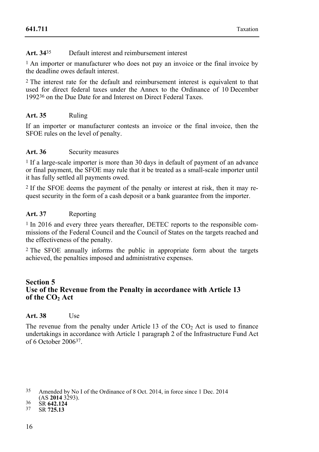## **Art. 34**35 Default interest and reimbursement interest

<sup>1</sup> An importer or manufacturer who does not pay an invoice or the final invoice by the deadline owes default interest.

2 The interest rate for the default and reimbursement interest is equivalent to that used for direct federal taxes under the Annex to the Ordinance of 10 December 199236 on the Due Date for and Interest on Direct Federal Taxes.

## **Art. 35** Ruling

If an importer or manufacturer contests an invoice or the final invoice, then the SFOE rules on the level of penalty.

## **Art. 36** Security measures

1 If a large-scale importer is more than 30 days in default of payment of an advance or final payment, the SFOE may rule that it be treated as a small-scale importer until it has fully settled all payments owed.

2 If the SFOE deems the payment of the penalty or interest at risk, then it may request security in the form of a cash deposit or a bank guarantee from the importer.

## **Art. 37** Reporting

<sup>1</sup> In 2016 and every three years thereafter, DETEC reports to the responsible commissions of the Federal Council and the Council of States on the targets reached and the effectiveness of the penalty.

2 The SFOE annually informs the public in appropriate form about the targets achieved, the penalties imposed and administrative expenses.

# **Section 5 Use of the Revenue from the Penalty in accordance with Article 13 of the CO<sub>2</sub> Act**

#### **Art. 38** Use

The revenue from the penalty under Article  $13$  of the  $CO<sub>2</sub>$  Act is used to finance undertakings in accordance with Article 1 paragraph 2 of the Infrastructure Fund Act of 6 October 200637.

<sup>35</sup> Amended by No I of the Ordinance of 8 Oct. 2014, in force since 1 Dec. 2014

<sup>(</sup>AS **2014** 3293). 36 SR **642.124** 37 SR **725.13**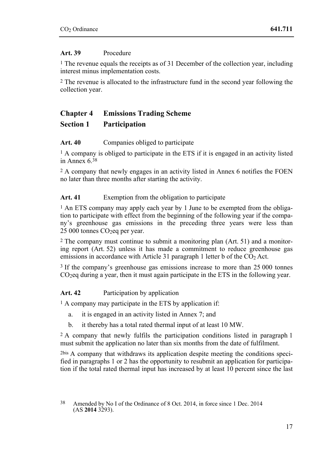## **Art. 39** Procedure

1 The revenue equals the receipts as of 31 December of the collection year, including interest minus implementation costs.

2 The revenue is allocated to the infrastructure fund in the second year following the collection year.

# **Chapter 4 Emissions Trading Scheme Section 1 Participation**

# Art. 40 Companies obliged to participate

1 A company is obliged to participate in the ETS if it is engaged in an activity listed in Annex 6.38

2 A company that newly engages in an activity listed in Annex 6 notifies the FOEN no later than three months after starting the activity.

# Art. 41 Exemption from the obligation to participate

1 An ETS company may apply each year by 1 June to be exempted from the obligation to participate with effect from the beginning of the following year if the company's greenhouse gas emissions in the preceding three years were less than  $25000$  tonnes CO<sub>2</sub>eq per year.

2 The company must continue to submit a monitoring plan (Art. 51) and a monitoring report (Art. 52) unless it has made a commitment to reduce greenhouse gas emissions in accordance with Article 31 paragraph 1 letter b of the CO<sub>2</sub> Act.

3 If the company's greenhouse gas emissions increase to more than 25 000 tonnes CO2eq during a year, then it must again participate in the ETS in the following year.

**Art. 42** Participation by application

<sup>1</sup> A company may participate in the ETS by application if:

- a. it is engaged in an activity listed in Annex 7; and
- b. it thereby has a total rated thermal input of at least 10 MW.

<sup>2</sup> A company that newly fulfils the participation conditions listed in paragraph 1 must submit the application no later than six months from the date of fulfilment.

2bis A company that withdraws its application despite meeting the conditions specified in paragraphs 1 or 2 has the opportunity to resubmit an application for participation if the total rated thermal input has increased by at least 10 percent since the last

<sup>38</sup> 38 Amended by No I of the Ordinance of 8 Oct. 2014, in force since 1 Dec. 2014 (AS **2014** 3293).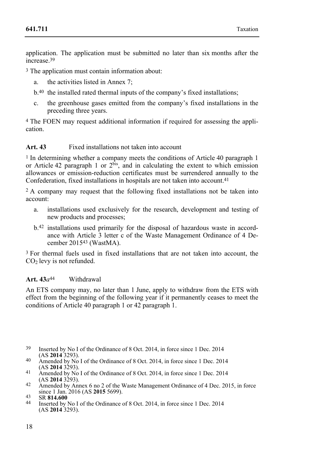application. The application must be submitted no later than six months after the increase<sup>39</sup>

3 The application must contain information about:

- a. the activities listed in Annex 7;
- b.40 the installed rated thermal inputs of the company's fixed installations;
- c. the greenhouse gases emitted from the company's fixed installations in the preceding three years.

4 The FOEN may request additional information if required for assessing the application.

#### **Art. 43** Fixed installations not taken into account

1 In determining whether a company meets the conditions of Article 40 paragraph 1 or Article 42 paragraph 1 or 2bis, and in calculating the extent to which emission allowances or emission-reduction certificates must be surrendered annually to the Confederation, fixed installations in hospitals are not taken into account.41

2 A company may request that the following fixed installations not be taken into account:

- a. installations used exclusively for the research, development and testing of new products and processes;
- b.42 installations used primarily for the disposal of hazardous waste in accordance with Article 3 letter c of the Waste Management Ordinance of 4 December 201543 (WastMA).

3 For thermal fuels used in fixed installations that are not taken into account, the CO2 levy is not refunded.

#### Art.  $43a^{44}$  Withdrawal

An ETS company may, no later than 1 June, apply to withdraw from the ETS with effect from the beginning of the following year if it permanently ceases to meet the conditions of Article 40 paragraph 1 or 42 paragraph 1.

- 39 Inserted by No I of the Ordinance of 8 Oct. 2014, in force since 1 Dec. 2014 (AS 2014 3293).
- 40 Amended by No I of the Ordinance of 8 Oct. 2014, in force since 1 Dec. 2014 (AS **2014** 3293).
- <sup>41</sup> Amended by No I of the Ordinance of 8 Oct. 2014, in force since 1 Dec. 2014 (AS **2014** 3293).
- As **2014** 3293. Amended by Annex 6 no 2 of the Waste Management Ordinance of 4 Dec. 2015, in force since 1 Jan. 2016 (AS **2015** 5699).

since 1 Jan. 2016 (AS **2015** 5699). 43 SR **814.600** 44 Inserted by No I of the Ordinance of 8 Oct. 2014, in force since 1 Dec. 2014 (AS **2014** 3293).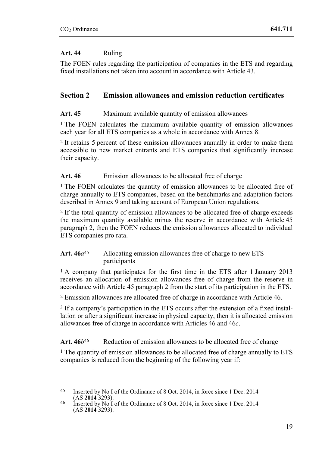# **Art. 44** Ruling

The FOEN rules regarding the participation of companies in the ETS and regarding fixed installations not taken into account in accordance with Article 43.

# **Section 2 Emission allowances and emission reduction certificates**

# Art. 45 Maximum available quantity of emission allowances

1 The FOEN calculates the maximum available quantity of emission allowances each year for all ETS companies as a whole in accordance with Annex 8.

2 It retains 5 percent of these emission allowances annually in order to make them accessible to new market entrants and ETS companies that significantly increase their capacity.

# Art. 46 Emission allowances to be allocated free of charge

<sup>1</sup> The FOEN calculates the quantity of emission allowances to be allocated free of charge annually to ETS companies, based on the benchmarks and adaptation factors described in Annex 9 and taking account of European Union regulations.

2 If the total quantity of emission allowances to be allocated free of charge exceeds the maximum quantity available minus the reserve in accordance with Article 45 paragraph 2, then the FOEN reduces the emission allowances allocated to individual ETS companies pro rata.

## Art. 46 $a^{45}$  Allocating emission allowances free of charge to new ETS participants

<sup>1</sup> A company that participates for the first time in the ETS after 1 January 2013 receives an allocation of emission allowances free of charge from the reserve in accordance with Article 45 paragraph 2 from the start of its participation in the ETS.

2 Emission allowances are allocated free of charge in accordance with Article 46.

3 If a company's participation in the ETS occurs after the extension of a fixed installation or after a significant increase in physical capacity, then it is allocated emission allowances free of charge in accordance with Articles 46 and 46*c*.

Art.  $46b^{46}$  Reduction of emission allowances to be allocated free of charge

1 The quantity of emission allowances to be allocated free of charge annually to ETS companies is reduced from the beginning of the following year if:

<sup>45</sup> Inserted by No I of the Ordinance of 8 Oct. 2014, in force since 1 Dec. 2014

<sup>(</sup>AS **2014** 3293). 46 Inserted by No I of the Ordinance of 8 Oct. 2014, in force since 1 Dec. 2014 (AS **2014** 3293).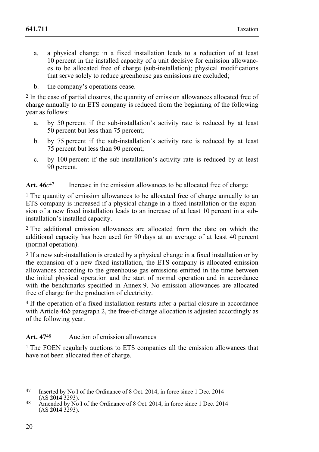- a. a physical change in a fixed installation leads to a reduction of at least 10 percent in the installed capacity of a unit decisive for emission allowances to be allocated free of charge (sub-installation); physical modifications that serve solely to reduce greenhouse gas emissions are excluded;
- b. the company's operations cease.

2 In the case of partial closures, the quantity of emission allowances allocated free of charge annually to an ETS company is reduced from the beginning of the following year as follows:

- a. by 50 percent if the sub-installation's activity rate is reduced by at least 50 percent but less than 75 percent;
- b. by 75 percent if the sub-installation's activity rate is reduced by at least 75 percent but less than 90 percent;
- c. by 100 percent if the sub-installation's activity rate is reduced by at least 90 percent.

#### Art.  $46c^{47}$  Increase in the emission allowances to be allocated free of charge

<sup>1</sup> The quantity of emission allowances to be allocated free of charge annually to an ETS company is increased if a physical change in a fixed installation or the expansion of a new fixed installation leads to an increase of at least 10 percent in a subinstallation's installed capacity.

2 The additional emission allowances are allocated from the date on which the additional capacity has been used for 90 days at an average of at least 40 percent (normal operation).

3 If a new sub-installation is created by a physical change in a fixed installation or by the expansion of a new fixed installation, the ETS company is allocated emission allowances according to the greenhouse gas emissions emitted in the time between the initial physical operation and the start of normal operation and in accordance with the benchmarks specified in Annex 9. No emission allowances are allocated free of charge for the production of electricity.

4 If the operation of a fixed installation restarts after a partial closure in accordance with Article 46*b* paragraph 2, the free-of-charge allocation is adjusted accordingly as of the following year.

#### **Art. 47**48 Auction of emission allowances

1 The FOEN regularly auctions to ETS companies all the emission allowances that have not been allocated free of charge.

- 47 Inserted by No I of the Ordinance of 8 Oct. 2014, in force since 1 Dec. 2014
- <sup>48</sup> Amended by No I of the Ordinance of 8 Oct. 2014, in force since 1 Dec. 2014  $(AS 2014 3293).$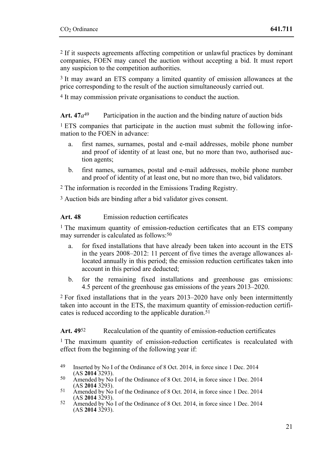2 If it suspects agreements affecting competition or unlawful practices by dominant companies, FOEN may cancel the auction without accepting a bid. It must report any suspicion to the competition authorities.

3 It may award an ETS company a limited quantity of emission allowances at the price corresponding to the result of the auction simultaneously carried out.

4 It may commission private organisations to conduct the auction.

**Art. 47***a*49 Participation in the auction and the binding nature of auction bids

1 ETS companies that participate in the auction must submit the following information to the FOEN in advance:

- a. first names, surnames, postal and e-mail addresses, mobile phone number and proof of identity of at least one, but no more than two, authorised auction agents;
- b. first names, surnames, postal and e-mail addresses, mobile phone number and proof of identity of at least one, but no more than two, bid validators.

2 The information is recorded in the Emissions Trading Registry.

3 Auction bids are binding after a bid validator gives consent.

**Art. 48** Emission reduction certificates

1 The maximum quantity of emission-reduction certificates that an ETS company may surrender is calculated as follows:50

- a. for fixed installations that have already been taken into account in the ETS in the years 2008–2012: 11 percent of five times the average allowances allocated annually in this period; the emission reduction certificates taken into account in this period are deducted;
- b. for the remaining fixed installations and greenhouse gas emissions: 4.5 percent of the greenhouse gas emissions of the years 2013–2020.

2 For fixed installations that in the years 2013–2020 have only been intermittently taken into account in the ETS, the maximum quantity of emission-reduction certificates is reduced according to the applicable duration.<sup>51</sup>

Art. 49<sup>52</sup> Recalculation of the quantity of emission-reduction certificates

<sup>1</sup> The maximum quantity of emission-reduction certificates is recalculated with effect from the beginning of the following year if:

- 50 Amended by No I of the Ordinance of 8 Oct. 2014, in force since 1 Dec. 2014 (AS 2014 3293).
- 51 Amended by No I of the Ordinance of 8 Oct. 2014, in force since 1 Dec. 2014 (AS **2014** 3293).
- (AS **2014** 3293). 52 Amended by No I of the Ordinance of 8 Oct. 2014, in force since 1 Dec. 2014  $(AS 2014 3293).$

<sup>49</sup> Inserted by No I of the Ordinance of 8 Oct. 2014, in force since 1 Dec. 2014 (AS 2014 3293).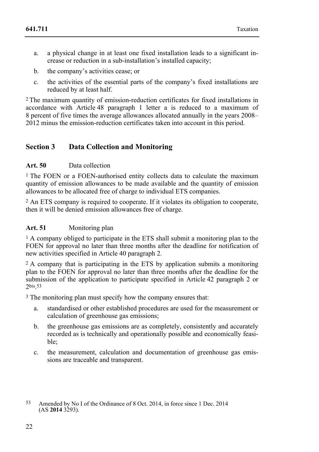- a. a physical change in at least one fixed installation leads to a significant increase or reduction in a sub-installation's installed capacity;
- b. the company's activities cease; or
- c. the activities of the essential parts of the company's fixed installations are reduced by at least half.

2 The maximum quantity of emission-reduction certificates for fixed installations in accordance with Article 48 paragraph 1 letter a is reduced to a maximum of 8 percent of five times the average allowances allocated annually in the years 2008– 2012 minus the emission-reduction certificates taken into account in this period.

# **Section 3 Data Collection and Monitoring**

## **Art. 50** Data collection

<sup>1</sup> The FOEN or a FOEN-authorised entity collects data to calculate the maximum quantity of emission allowances to be made available and the quantity of emission allowances to be allocated free of charge to individual ETS companies.

2 An ETS company is required to cooperate. If it violates its obligation to cooperate, then it will be denied emission allowances free of charge.

#### **Art. 51** Monitoring plan

1 A company obliged to participate in the ETS shall submit a monitoring plan to the FOEN for approval no later than three months after the deadline for notification of new activities specified in Article 40 paragraph 2.

2 A company that is participating in the ETS by application submits a monitoring plan to the FOEN for approval no later than three months after the deadline for the submission of the application to participate specified in Article 42 paragraph 2 or 2bis.53

3 The monitoring plan must specify how the company ensures that:

- a. standardised or other established procedures are used for the measurement or calculation of greenhouse gas emissions;
- b. the greenhouse gas emissions are as completely, consistently and accurately recorded as is technically and operationally possible and economically feasible;
- c. the measurement, calculation and documentation of greenhouse gas emissions are traceable and transparent.

<sup>53</sup> 53 Amended by No I of the Ordinance of 8 Oct. 2014, in force since 1 Dec. 2014 (AS **2014** 3293).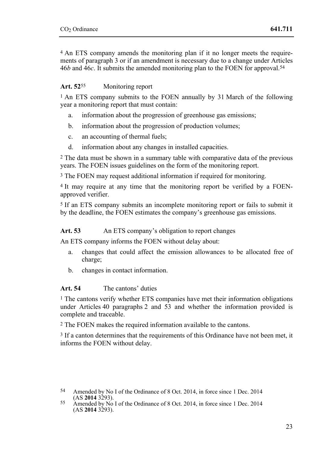4 An ETS company amends the monitoring plan if it no longer meets the requirements of paragraph 3 or if an amendment is necessary due to a change under Articles 46*b* and 46*c*. It submits the amended monitoring plan to the FOEN for approval.54

## **Art. 52**55 Monitoring report

<sup>1</sup> An ETS company submits to the FOEN annually by 31 March of the following year a monitoring report that must contain:

- a. information about the progression of greenhouse gas emissions;
- b. information about the progression of production volumes;
- c. an accounting of thermal fuels;
- d. information about any changes in installed capacities.

2 The data must be shown in a summary table with comparative data of the previous years. The FOEN issues guidelines on the form of the monitoring report.

3 The FOEN may request additional information if required for monitoring.

4 It may require at any time that the monitoring report be verified by a FOENapproved verifier.

5 If an ETS company submits an incomplete monitoring report or fails to submit it by the deadline, the FOEN estimates the company's greenhouse gas emissions.

## Art. 53 An ETS company's obligation to report changes

An ETS company informs the FOEN without delay about:

- a. changes that could affect the emission allowances to be allocated free of charge;
- b. changes in contact information.

## **Art. 54** The cantons' duties

<sup>1</sup> The cantons verify whether ETS companies have met their information obligations under Articles 40 paragraphs 2 and 53 and whether the information provided is complete and traceable.

2 The FOEN makes the required information available to the cantons.

<sup>3</sup> If a canton determines that the requirements of this Ordinance have not been met, it informs the FOEN without delay.

<sup>54</sup> Amended by No I of the Ordinance of 8 Oct. 2014, in force since 1 Dec. 2014 (AS 2014 3293).

<sup>(</sup>AS **2014** 3293). 55 Amended by No I of the Ordinance of 8 Oct. 2014, in force since 1 Dec. 2014  $(AS 2014 3293).$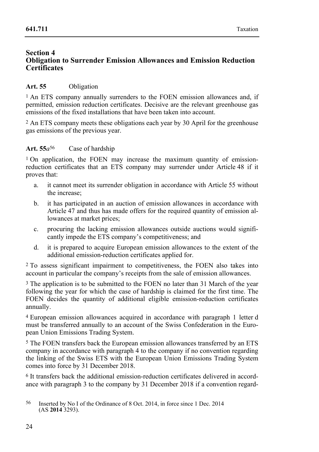#### **Section 4 Obligation to Surrender Emission Allowances and Emission Reduction Certificates**

# **Art. 55** Obligation

<sup>1</sup> An ETS company annually surrenders to the FOEN emission allowances and, if permitted, emission reduction certificates. Decisive are the relevant greenhouse gas emissions of the fixed installations that have been taken into account.

2 An ETS company meets these obligations each year by 30 April for the greenhouse gas emissions of the previous year.

## **Art. 55***a*56 Case of hardship

<sup>1</sup> On application, the FOEN may increase the maximum quantity of emissionreduction certificates that an ETS company may surrender under Article 48 if it proves that:

- a. it cannot meet its surrender obligation in accordance with Article 55 without the increase;
- b. it has participated in an auction of emission allowances in accordance with Article 47 and thus has made offers for the required quantity of emission allowances at market prices;
- c. procuring the lacking emission allowances outside auctions would significantly impede the ETS company's competitiveness; and
- d. it is prepared to acquire European emission allowances to the extent of the additional emission-reduction certificates applied for.

2 To assess significant impairment to competitiveness, the FOEN also takes into account in particular the company's receipts from the sale of emission allowances.

3 The application is to be submitted to the FOEN no later than 31 March of the year following the year for which the case of hardship is claimed for the first time. The FOEN decides the quantity of additional eligible emission-reduction certificates annually.

4 European emission allowances acquired in accordance with paragraph 1 letter d must be transferred annually to an account of the Swiss Confederation in the European Union Emissions Trading System.

5 The FOEN transfers back the European emission allowances transferred by an ETS company in accordance with paragraph 4 to the company if no convention regarding the linking of the Swiss ETS with the European Union Emissions Trading System comes into force by 31 December 2018.

6 It transfers back the additional emission-reduction certificates delivered in accordance with paragraph 3 to the company by 31 December 2018 if a convention regard-

<sup>56</sup> 56 Inserted by No I of the Ordinance of 8 Oct. 2014, in force since 1 Dec. 2014 (AS **2014** 3293).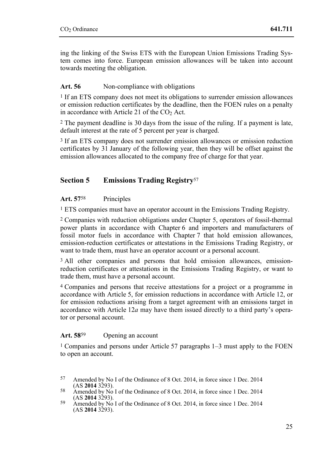ing the linking of the Swiss ETS with the European Union Emissions Trading System comes into force. European emission allowances will be taken into account towards meeting the obligation.

## Art. 56 Non-compliance with obligations

<sup>1</sup> If an ETS company does not meet its obligations to surrender emission allowances or emission reduction certificates by the deadline, then the FOEN rules on a penalty in accordance with Article 21 of the  $CO<sub>2</sub>$  Act.

2 The payment deadline is 30 days from the issue of the ruling. If a payment is late, default interest at the rate of 5 percent per year is charged.

3 If an ETS company does not surrender emission allowances or emission reduction certificates by  $3\hat{1}$  January of the following year, then they will be offset against the emission allowances allocated to the company free of charge for that year.

# **Section 5 Emissions Trading Registry**<sup>57</sup>

#### **Art. 57**58 Principles

1 ETS companies must have an operator account in the Emissions Trading Registry.

2 Companies with reduction obligations under Chapter 5, operators of fossil-thermal power plants in accordance with Chapter 6 and importers and manufacturers of fossil motor fuels in accordance with Chapter 7 that hold emission allowances, emission-reduction certificates or attestations in the Emissions Trading Registry, or want to trade them, must have an operator account or a personal account.

<sup>3</sup> All other companies and persons that hold emission allowances, emissionreduction certificates or attestations in the Emissions Trading Registry, or want to trade them, must have a personal account.

4 Companies and persons that receive attestations for a project or a programme in accordance with Article 5, for emission reductions in accordance with Article 12, or for emission reductions arising from a target agreement with an emissions target in accordance with Article 12*a* may have them issued directly to a third party's operator or personal account.

## **Art. 58**59 Opening an account

1 Companies and persons under Article 57 paragraphs 1–3 must apply to the FOEN to open an account.

<sup>57</sup> Amended by No I of the Ordinance of 8 Oct. 2014, in force since 1 Dec. 2014 (AS 2014 3293).

<sup>58</sup> Amended by No I of the Ordinance of 8 Oct. 2014, in force since 1 Dec. 2014 (AS **2014** 3293).

<sup>&</sup>lt;sup>59</sup> Amended by No I of the Ordinance of 8 Oct. 2014, in force since 1 Dec. 2014  $(AS 2014 3293).$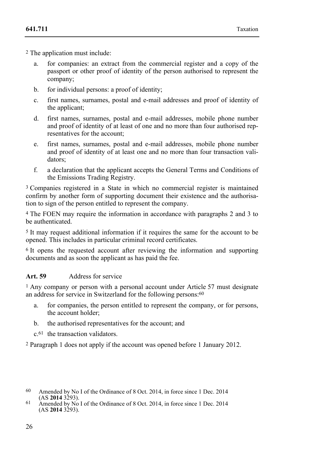2 The application must include:

- a. for companies: an extract from the commercial register and a copy of the passport or other proof of identity of the person authorised to represent the company;
- b. for individual persons: a proof of identity;
- c. first names, surnames, postal and e-mail addresses and proof of identity of the applicant;
- d. first names, surnames, postal and e-mail addresses, mobile phone number and proof of identity of at least of one and no more than four authorised representatives for the account;
- e. first names, surnames, postal and e-mail addresses, mobile phone number and proof of identity of at least one and no more than four transaction validators;
- f. a declaration that the applicant accepts the General Terms and Conditions of the Emissions Trading Registry.

3 Companies registered in a State in which no commercial register is maintained confirm by another form of supporting document their existence and the authorisation to sign of the person entitled to represent the company.

4 The FOEN may require the information in accordance with paragraphs 2 and 3 to be authenticated.

5 It may request additional information if it requires the same for the account to be opened. This includes in particular criminal record certificates.

6 It opens the requested account after reviewing the information and supporting documents and as soon the applicant as has paid the fee.

# **Art. 59** Address for service

1 Any company or person with a personal account under Article 57 must designate an address for service in Switzerland for the following persons:<sup>60</sup>

- a. for companies, the person entitled to represent the company, or for persons, the account holder;
- b. the authorised representatives for the account; and

c.61 the transaction validators.

2 Paragraph 1 does not apply if the account was opened before 1 January 2012.

<sup>&</sup>lt;sup>60</sup> Amended by No I of the Ordinance of 8 Oct. 2014, in force since 1 Dec. 2014 (AS **2014** 3293).

 $\overline{A}$  328  $\overline{A}$  2014  $\overline{A}$  5293. To f the Ordinance of 8 Oct. 2014, in force since 1 Dec. 2014  $(AS 2014 3293).$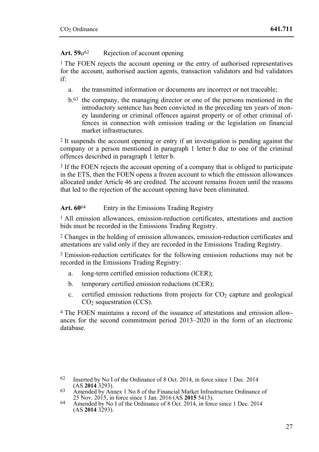# Art. 59 $a^{62}$  Rejection of account opening

<sup>1</sup> The FOEN rejects the account opening or the entry of authorised representatives for the account, authorised auction agents, transaction validators and bid validators if:

- a. the transmitted information or documents are incorrect or not traceable;
- b.63 the company, the managing director or one of the persons mentioned in the introductory sentence has been convicted in the preceding ten years of money laundering or criminal offences against property or of other criminal offences in connection with emission trading or the legislation on financial market infrastructures.

2 It suspends the account opening or entry if an investigation is pending against the company or a person mentioned in paragraph 1 letter b due to one of the criminal offences described in paragraph 1 letter b.

3 If the FOEN rejects the account opening of a company that is obliged to participate in the ETS, then the FOEN opens a frozen account to which the emission allowances allocated under Article 46 are credited. The account remains frozen until the reasons that led to the rejection of the account opening have been eliminated.

## Art. 60<sup>64</sup> Entry in the Emissions Trading Registry

1 All emission allowances, emission-reduction certificates, attestations and auction bids must be recorded in the Emissions Trading Registry.

2 Changes in the holding of emission allowances, emission-reduction certificates and attestations are valid only if they are recorded in the Emissions Trading Registry.

3 Emission-reduction certificates for the following emission reductions may not be recorded in the Emissions Trading Registry:

- a. long-term certified emission reductions (lCER);
- b. temporary certified emission reductions (tCER);
- c. certified emission reductions from projects for  $CO<sub>2</sub>$  capture and geological  $CO<sub>2</sub>$  sequestration (CCS).

4 The FOEN maintains a record of the issuance of attestations and emission allowances for the second commitment period 2013–2020 in the form of an electronic database.

<sup>62</sup> Inserted by No I of the Ordinance of 8 Oct. 2014, in force since 1 Dec. 2014 (AS 2014 3293).

<sup>&</sup>lt;sup>63</sup> Amended by Annex 1 No 8 of the Financial Market Infrastructure Ordinance of 25 Nov. 2015, in force since 1 Jan. 2016 (AS **2015** 5413).

<sup>&</sup>lt;sup>64</sup> Amended by No I of the Ordinance of 8 Oct. 2014, in force since 1 Dec. 2014  $(AS 2014 3293).$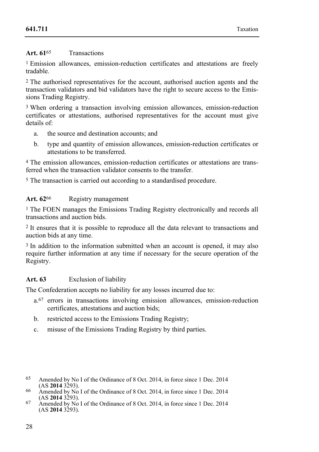## **Art. 61**65 Transactions

1 Emission allowances, emission-reduction certificates and attestations are freely tradable.

2 The authorised representatives for the account, authorised auction agents and the transaction validators and bid validators have the right to secure access to the Emissions Trading Registry.

3 When ordering a transaction involving emission allowances, emission-reduction certificates or attestations, authorised representatives for the account must give details of:

- a. the source and destination accounts; and
- b. type and quantity of emission allowances, emission-reduction certificates or attestations to be transferred.

4 The emission allowances, emission-reduction certificates or attestations are transferred when the transaction validator consents to the transfer.

5 The transaction is carried out according to a standardised procedure.

# Art. 62<sup>66</sup> Registry management

1 The FOEN manages the Emissions Trading Registry electronically and records all transactions and auction bids.

2 It ensures that it is possible to reproduce all the data relevant to transactions and auction bids at any time.

<sup>3</sup> In addition to the information submitted when an account is opened, it may also require further information at any time if necessary for the secure operation of the Registry.

# **Art. 63** Exclusion of liability

The Confederation accepts no liability for any losses incurred due to:

- a.67 errors in transactions involving emission allowances, emission-reduction certificates, attestations and auction bids;
- b. restricted access to the Emissions Trading Registry;
- c. misuse of the Emissions Trading Registry by third parties.
- 65 Amended by No I of the Ordinance of 8 Oct. 2014, in force since 1 Dec. 2014 (AS 2014 3293).
- <sup>66</sup> Amended by No I of the Ordinance of 8 Oct. 2014, in force since 1 Dec. 2014 (AS **2014** 3293).
- $\overline{67}$  Amended by No I of the Ordinance of 8 Oct. 2014, in force since 1 Dec. 2014 (AS **2014** 3293).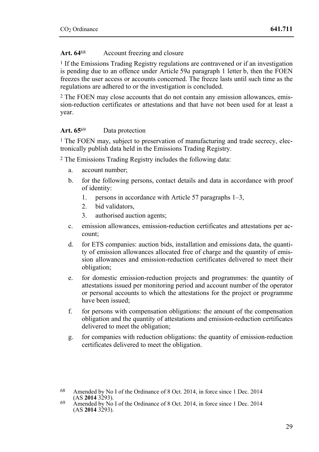# Art. 64<sup>68</sup> Account freezing and closure

1 If the Emissions Trading Registry regulations are contravened or if an investigation is pending due to an offence under Article 59*a* paragraph 1 letter b, then the FOEN freezes the user access or accounts concerned. The freeze lasts until such time as the regulations are adhered to or the investigation is concluded.

2 The FOEN may close accounts that do not contain any emission allowances, emission-reduction certificates or attestations and that have not been used for at least a year.

## **Art. 65**69 Data protection

<sup>1</sup> The FOEN may, subject to preservation of manufacturing and trade secrecy, electronically publish data held in the Emissions Trading Registry.

2 The Emissions Trading Registry includes the following data:

- a. account number;
- b. for the following persons, contact details and data in accordance with proof of identity:
	- 1. persons in accordance with Article 57 paragraphs 1–3,
	- 2. bid validators,
	- 3. authorised auction agents;
- c. emission allowances, emission-reduction certificates and attestations per account;
- d. for ETS companies: auction bids, installation and emissions data, the quantity of emission allowances allocated free of charge and the quantity of emission allowances and emission-reduction certificates delivered to meet their obligation;
- e. for domestic emission-reduction projects and programmes: the quantity of attestations issued per monitoring period and account number of the operator or personal accounts to which the attestations for the project or programme have been issued;
- f. for persons with compensation obligations: the amount of the compensation obligation and the quantity of attestations and emission-reduction certificates delivered to meet the obligation;
- g. for companies with reduction obligations: the quantity of emission-reduction certificates delivered to meet the obligation.

<sup>&</sup>lt;sup>68</sup> Amended by No I of the Ordinance of 8 Oct. 2014, in force since 1 Dec. 2014 (AS **2014** 3293).

 $\overline{69}$  Amended by No I of the Ordinance of 8 Oct. 2014, in force since 1 Dec. 2014  $(AS 2014 3293).$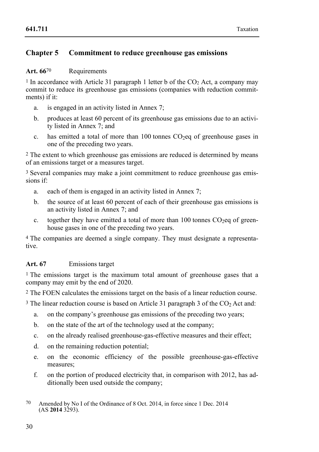# **Chapter 5 Commitment to reduce greenhouse gas emissions**

## Art. 66<sup>70</sup> Requirements

<sup>1</sup> In accordance with Article 31 paragraph 1 letter b of the  $CO<sub>2</sub>$  Act, a company may commit to reduce its greenhouse gas emissions (companies with reduction commitments) if it:

- a. is engaged in an activity listed in Annex 7;
- b. produces at least 60 percent of its greenhouse gas emissions due to an activity listed in Annex 7; and
- c. has emitted a total of more than 100 tonnes CO2eq of greenhouse gases in one of the preceding two years.

2 The extent to which greenhouse gas emissions are reduced is determined by means of an emissions target or a measures target.

3 Several companies may make a joint commitment to reduce greenhouse gas emissions if:

- a. each of them is engaged in an activity listed in Annex 7;
- b. the source of at least 60 percent of each of their greenhouse gas emissions is an activity listed in Annex 7; and
- c. together they have emitted a total of more than 100 tonnes  $CO<sub>2</sub>$ eq of greenhouse gases in one of the preceding two years.

4 The companies are deemed a single company. They must designate a representative.

# **Art. 67** Emissions target

1 The emissions target is the maximum total amount of greenhouse gases that a company may emit by the end of 2020.

2 The FOEN calculates the emissions target on the basis of a linear reduction course.

<sup>3</sup> The linear reduction course is based on Article 31 paragraph 3 of the CO<sub>2</sub> Act and:

- a. on the company's greenhouse gas emissions of the preceding two years;
- b. on the state of the art of the technology used at the company;
- c. on the already realised greenhouse-gas-effective measures and their effect;
- d. on the remaining reduction potential;
- e. on the economic efficiency of the possible greenhouse-gas-effective measures;
- f. on the portion of produced electricity that, in comparison with 2012, has additionally been used outside the company;
- 70 Amended by No I of the Ordinance of 8 Oct. 2014, in force since 1 Dec. 2014  $(AS 2014 3293).$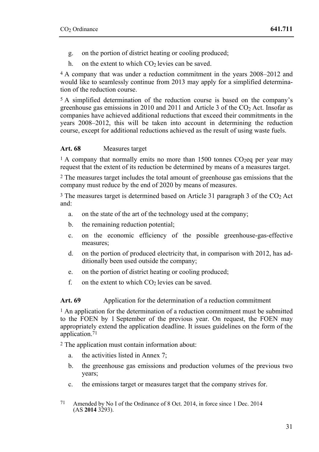- g. on the portion of district heating or cooling produced;
- h. on the extent to which  $CO<sub>2</sub>$  levies can be saved.

4 A company that was under a reduction commitment in the years 2008–2012 and would like to seamlessly continue from 2013 may apply for a simplified determination of the reduction course.

5 A simplified determination of the reduction course is based on the company's greenhouse gas emissions in 2010 and 2011 and Article 3 of the  $CO<sub>2</sub>$  Act. Insofar as companies have achieved additional reductions that exceed their commitments in the years 2008–2012, this will be taken into account in determining the reduction course, except for additional reductions achieved as the result of using waste fuels.

## **Art. 68** Measures target

 $1 A$  company that normally emits no more than 1500 tonnes CO<sub>2</sub>eq per year may request that the extent of its reduction be determined by means of a measures target.

2 The measures target includes the total amount of greenhouse gas emissions that the company must reduce by the end of 2020 by means of measures.

3 The measures target is determined based on Article 31 paragraph 3 of the CO2 Act and:

- a. on the state of the art of the technology used at the company;
- b. the remaining reduction potential;
- c. on the economic efficiency of the possible greenhouse-gas-effective measures;
- d. on the portion of produced electricity that, in comparison with 2012, has additionally been used outside the company;
- e. on the portion of district heating or cooling produced;
- f. on the extent to which  $CO<sub>2</sub>$  levies can be saved.

#### Art. 69 Application for the determination of a reduction commitment

1 An application for the determination of a reduction commitment must be submitted to the FOEN by 1 September of the previous year. On request, the FOEN may appropriately extend the application deadline. It issues guidelines on the form of the application.<sup>71</sup>

2 The application must contain information about:

- a. the activities listed in Annex 7;
- b. the greenhouse gas emissions and production volumes of the previous two years;
- c. the emissions target or measures target that the company strives for.
- 71 Amended by No I of the Ordinance of 8 Oct. 2014, in force since 1 Dec. 2014  $(AS 2014 3293).$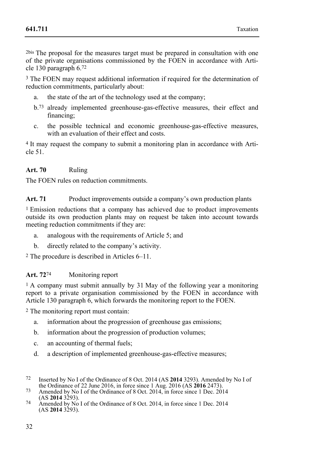2bis The proposal for the measures target must be prepared in consultation with one of the private organisations commissioned by the FOEN in accordance with Article 130 paragraph 6.72

<sup>3</sup> The FOEN may request additional information if required for the determination of reduction commitments, particularly about:

- a. the state of the art of the technology used at the company;
- b.73 already implemented greenhouse-gas-effective measures, their effect and financing;
- c. the possible technical and economic greenhouse-gas-effective measures, with an evaluation of their effect and costs.

4 It may request the company to submit a monitoring plan in accordance with Article 51.

# **Art. 70** Ruling

The FOEN rules on reduction commitments.

Art. 71 Product improvements outside a company's own production plants

1 Emission reductions that a company has achieved due to product improvements outside its own production plants may on request be taken into account towards meeting reduction commitments if they are:

- a. analogous with the requirements of Article 5; and
- b. directly related to the company's activity.

2 The procedure is described in Articles 6–11.

#### **Art. 72**74 Monitoring report

<sup>1</sup> A company must submit annually by 31 May of the following year a monitoring report to a private organisation commissioned by the FOEN in accordance with Article 130 paragraph 6, which forwards the monitoring report to the FOEN.

2 The monitoring report must contain:

- a. information about the progression of greenhouse gas emissions;
- b. information about the progression of production volumes;
- c. an accounting of thermal fuels;
- d. a description of implemented greenhouse-gas-effective measures;
- 72 Inserted by No I of the Ordinance of 8 Oct. 2014 (AS 2014 3293). Amended by No I of the Ordinance of 22 June 2016, in force since 1 Aug. 2016 (AS 2016 2473).
- 73 Amended by No I of the Ordinance of 8 Oct. 2014, in force since 1 Dec. 2014<br>(AS **2014** 3293).
- (AS **2014** 3293). 74 Amended by No I of the Ordinance of 8 Oct. 2014, in force since 1 Dec. 2014 (AS **2014** 3293).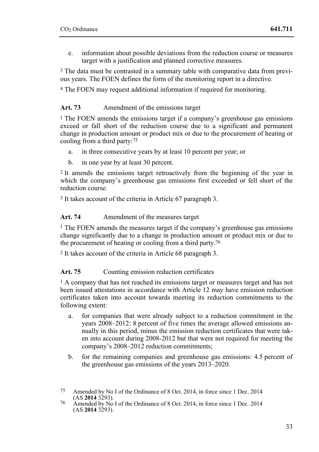e. information about possible deviations from the reduction course or measures target with a justification and planned corrective measures.

3 The data must be contrasted in a summary table with comparative data from previous years. The FOEN defines the form of the monitoring report in a directive.

4 The FOEN may request additional information if required for monitoring.

# Art. 73 Amendment of the emissions target

1 The FOEN amends the emissions target if a company's greenhouse gas emissions exceed or fall short of the reduction course due to a significant and permanent change in production amount or product mix or due to the procurement of heating or cooling from a third party:75

- a. in three consecutive years by at least 10 percent per year; or
- b. in one year by at least 30 percent.

2 It amends the emissions target retroactively from the beginning of the year in which the company's greenhouse gas emissions first exceeded or fell short of the reduction course.

3 It takes account of the criteria in Article 67 paragraph 3.

#### Art. 74 Amendment of the measures target

1 The FOEN amends the measures target if the company's greenhouse gas emissions change significantly due to a change in production amount or product mix or due to the procurement of heating or cooling from a third party.76

2 It takes account of the criteria in Article 68 paragraph 3.

## Art. 75 Counting emission reduction certificates

<sup>1</sup> A company that has not reached its emissions target or measures target and has not been issued attestations in accordance with Article 12 may have emission reduction certificates taken into account towards meeting its reduction commitments to the following extent:

- a. for companies that were already subject to a reduction commitment in the years 2008–2012: 8 percent of five times the average allowed emissions annually in this period, minus the emission reduction certificates that were taken into account during 2008-2012 but that were not required for meeting the company's 2008–2012 reduction commitments;
- b. for the remaining companies and greenhouse gas emissions: 4.5 percent of the greenhouse gas emissions of the years 2013–2020.

<sup>75</sup> Amended by No I of the Ordinance of 8 Oct. 2014, in force since 1 Dec. 2014

<sup>&</sup>lt;sup>76</sup> Amended by No I of the Ordinance of 8 Oct. 2014, in force since 1 Dec. 2014  $(AS 2014 3293).$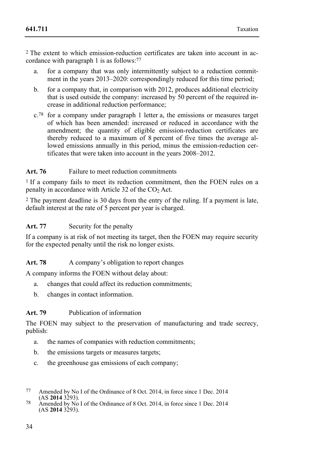2 The extent to which emission-reduction certificates are taken into account in accordance with paragraph 1 is as follows:77

- a. for a company that was only intermittently subject to a reduction commitment in the years 2013–2020: correspondingly reduced for this time period;
- b. for a company that, in comparison with 2012, produces additional electricity that is used outside the company: increased by 50 percent of the required increase in additional reduction performance;
- $c^{78}$  for a company under paragraph 1 letter a, the emissions or measures target of which has been amended: increased or reduced in accordance with the amendment; the quantity of eligible emission-reduction certificates are thereby reduced to a maximum of 8 percent of five times the average allowed emissions annually in this period, minus the emission-reduction certificates that were taken into account in the years 2008–2012.

## Art. 76 Failure to meet reduction commitments

<sup>1</sup> If a company fails to meet its reduction commitment, then the FOEN rules on a penalty in accordance with Article 32 of the  $CO<sub>2</sub>$  Act.

2 The payment deadline is 30 days from the entry of the ruling. If a payment is late, default interest at the rate of 5 percent per year is charged.

## Art. 77 Security for the penalty

If a company is at risk of not meeting its target, then the FOEN may require security for the expected penalty until the risk no longer exists.

# Art. 78 A company's obligation to report changes

A company informs the FOEN without delay about:

- a. changes that could affect its reduction commitments;
- b. changes in contact information.

## **Art. 79** Publication of information

The FOEN may subject to the preservation of manufacturing and trade secrecy, publish:

- a. the names of companies with reduction commitments;
- b. the emissions targets or measures targets;
- c. the greenhouse gas emissions of each company;
- 77 Amended by No I of the Ordinance of 8 Oct. 2014, in force since 1 Dec. 2014
- <sup>78</sup> Amended by No I of the Ordinance of 8 Oct. 2014, in force since 1 Dec. 2014 (AS **2014** 3293).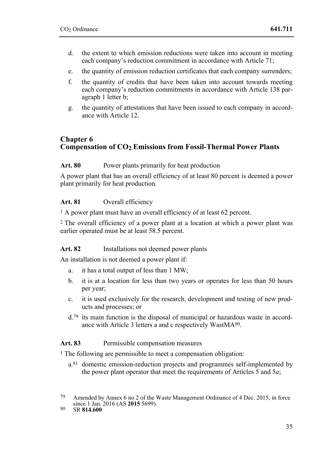- d. the extent to which emission reductions were taken into account in meeting each company's reduction commitment in accordance with Article 71;
- e. the quantity of emission reduction certificates that each company surrenders;
- f. the quantity of credits that have been taken into account towards meeting each company's reduction commitments in accordance with Article 138 paragraph 1 letter b;
- g. the quantity of attestations that have been issued to each company in accordance with Article 12.

# **Chapter 6 Compensation of CO2 Emissions from Fossil-Thermal Power Plants**

## Art. 80 Power plants primarily for heat production

A power plant that has an overall efficiency of at least 80 percent is deemed a power plant primarily for heat production.

#### **Art. 81** Overall efficiency

<sup>1</sup> A power plant must have an overall efficiency of at least 62 percent.

2 The overall efficiency of a power plant at a location at which a power plant was earlier operated must be at least 58.5 percent.

## Art. 82 Installations not deemed power plants

An installation is not deemed a power plant if:

- a. it has a total output of less than 1 MW;
- b. it is at a location for less than two years or operates for less than 50 hours per year;
- c. it is used exclusively for the research, development and testing of new products and processes; or
- $d^{79}$  its main function is the disposal of municipal or hazardous waste in accordance with Article 3 letters a and c respectively WastMA80.

#### Art. 83 Permissible compensation measures

<sup>1</sup> The following are permissible to meet a compensation obligation:

a.81 domestic emission-reduction projects and programmes self-implemented by the power plant operator that meet the requirements of Articles  $\overline{5}$  and  $\overline{5a}$ ;

<sup>79</sup> Amended by Annex 6 no 2 of the Waste Management Ordinance of 4 Dec. 2015, in force since 1 Jan. 2016 (AS **2015** 5699). 80 SR **814.600**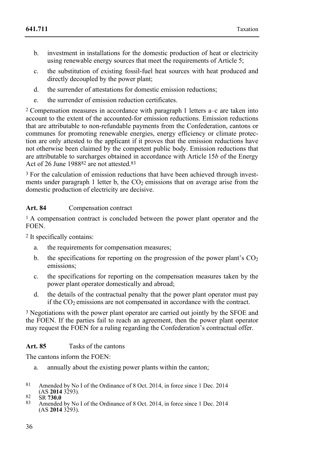- b. investment in installations for the domestic production of heat or electricity using renewable energy sources that meet the requirements of Article 5:
- c. the substitution of existing fossil-fuel heat sources with heat produced and directly decoupled by the power plant;
- d. the surrender of attestations for domestic emission reductions;
- e. the surrender of emission reduction certificates.

2 Compensation measures in accordance with paragraph 1 letters a–c are taken into account to the extent of the accounted-for emission reductions. Emission reductions that are attributable to non-refundable payments from the Confederation, cantons or communes for promoting renewable energies, energy efficiency or climate protection are only attested to the applicant if it proves that the emission reductions have not otherwise been claimed by the competent public body. Emission reductions that are attributable to surcharges obtained in accordance with Article 15*b* of the Energy Act of 26 June 1988<sup>82</sup> are not attested.<sup>83</sup>

<sup>3</sup> For the calculation of emission reductions that have been achieved through investments under paragraph 1 letter b, the  $CO<sub>2</sub>$  emissions that on average arise from the domestic production of electricity are decisive.

# **Art. 84** Compensation contract

1 A compensation contract is concluded between the power plant operator and the **FOEN.** 

2 It specifically contains:

- a. the requirements for compensation measures;
- b. the specifications for reporting on the progression of the power plant's  $CO<sub>2</sub>$ emissions;
- c. the specifications for reporting on the compensation measures taken by the power plant operator domestically and abroad;
- d. the details of the contractual penalty that the power plant operator must pay if the  $CO<sub>2</sub>$  emissions are not compensated in accordance with the contract.

<sup>3</sup> Negotiations with the power plant operator are carried out jointly by the SFOE and the FOEN. If the parties fail to reach an agreement, then the power plant operator may request the FOEN for a ruling regarding the Confederation's contractual offer.

## **Art. 85** Tasks of the cantons

The cantons inform the FOEN:

- a. annually about the existing power plants within the canton;
- $81$ Amended by No I of the Ordinance of 8 Oct. 2014, in force since 1 Dec. 2014 (AS 2014 3293).
- 
- (AS **2014** 3293). 82 SR **730.0** 83 Amended by No I of the Ordinance of 8 Oct. 2014, in force since 1 Dec. 2014 (AS **2014** 3293).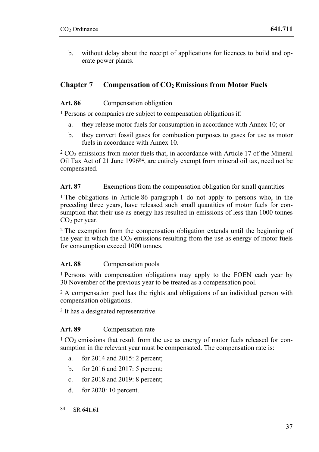b. without delay about the receipt of applications for licences to build and operate power plants.

## Chapter 7 Compensation of CO<sub>2</sub> Emissions from Motor Fuels

### Art. 86 Compensation obligation

1 Persons or companies are subject to compensation obligations if:

- a. they release motor fuels for consumption in accordance with Annex 10; or
- b. they convert fossil gases for combustion purposes to gases for use as motor fuels in accordance with Annex 10.

 $2 CO<sub>2</sub>$  emissions from motor fuels that, in accordance with Article 17 of the Mineral Oil Tax Act of 21 June 199684, are entirely exempt from mineral oil tax, need not be compensated.

Art. 87 Exemptions from the compensation obligation for small quantities

1 The obligations in Article 86 paragraph 1 do not apply to persons who, in the preceding three years, have released such small quantities of motor fuels for consumption that their use as energy has resulted in emissions of less than 1000 tonnes CO<sub>2</sub> per year.

2 The exemption from the compensation obligation extends until the beginning of the year in which the  $CO<sub>2</sub>$  emissions resulting from the use as energy of motor fuels for consumption exceed 1000 tonnes.

## **Art. 88** Compensation pools

1 Persons with compensation obligations may apply to the FOEN each year by 30 November of the previous year to be treated as a compensation pool.

2 A compensation pool has the rights and obligations of an individual person with compensation obligations.

3 It has a designated representative.

## **Art. 89** Compensation rate

<sup>1</sup> CO<sub>2</sub> emissions that result from the use as energy of motor fuels released for consumption in the relevant year must be compensated. The compensation rate is:

- a. for 2014 and 2015: 2 percent;
- b. for 2016 and 2017: 5 percent;
- c. for 2018 and 2019: 8 percent;
- d. for 2020: 10 percent.
- 84 84 SR **641.61**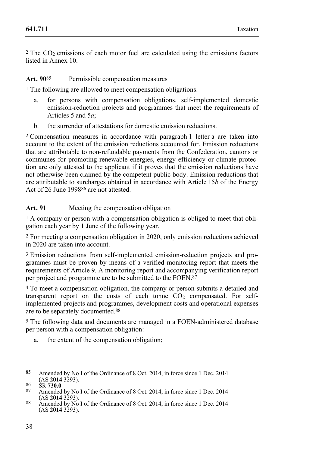$2$  The CO<sub>2</sub> emissions of each motor fuel are calculated using the emissions factors listed in Annex 10.

#### **Art. 90**85 Permissible compensation measures

1 The following are allowed to meet compensation obligations:

- a. for persons with compensation obligations, self-implemented domestic emission-reduction projects and programmes that meet the requirements of Articles 5 and 5*a*;
- b. the surrender of attestations for domestic emission reductions.

2 Compensation measures in accordance with paragraph 1 letter a are taken into account to the extent of the emission reductions accounted for. Emission reductions that are attributable to non-refundable payments from the Confederation, cantons or communes for promoting renewable energies, energy efficiency or climate protection are only attested to the applicant if it proves that the emission reductions have not otherwise been claimed by the competent public body. Emission reductions that are attributable to surcharges obtained in accordance with Article 15*b* of the Energy Act of 26 June 199886 are not attested.

#### **Art. 91** Meeting the compensation obligation

1 A company or person with a compensation obligation is obliged to meet that obligation each year by 1 June of the following year.

2 For meeting a compensation obligation in 2020, only emission reductions achieved in 2020 are taken into account.

3 Emission reductions from self-implemented emission-reduction projects and programmes must be proven by means of a verified monitoring report that meets the requirements of Article 9. A monitoring report and accompanying verification report per project and programme are to be submitted to the FOEN.87

4 To meet a compensation obligation, the company or person submits a detailed and transparent report on the costs of each tonne  $CO<sub>2</sub>$  compensated. For selfimplemented projects and programmes, development costs and operational expenses are to be separately documented.88

5 The following data and documents are managed in a FOEN-administered database per person with a compensation obligation:

- a. the extent of the compensation obligation;
- 85 Amended by No I of the Ordinance of 8 Oct. 2014, in force since 1 Dec. 2014  $(AS 2014 3293)$
- 86 SR **730.0**<br>87 Amended by No I of the Ordinance of 8 Oct. 2014, in force since 1 Dec. 2014 (AS **2014** 3293).
- <sup>88</sup> Amended by No I of the Ordinance of 8 Oct. 2014, in force since 1 Dec. 2014 (AS **2014** 3293).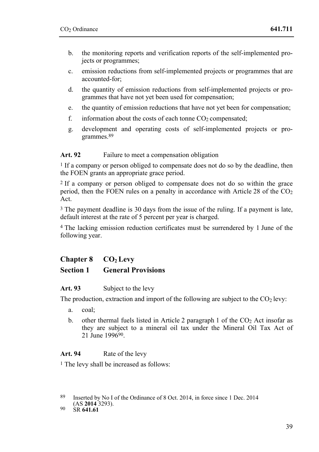- b. the monitoring reports and verification reports of the self-implemented projects or programmes;
- c. emission reductions from self-implemented projects or programmes that are accounted-for;
- d. the quantity of emission reductions from self-implemented projects or programmes that have not yet been used for compensation;
- e. the quantity of emission reductions that have not yet been for compensation;
- f. information about the costs of each tonne  $CO<sub>2</sub>$  compensated;
- g. development and operating costs of self-implemented projects or programmes.89

### Art. 92 Failure to meet a compensation obligation

1 If a company or person obliged to compensate does not do so by the deadline, then the FOEN grants an appropriate grace period.

2 If a company or person obliged to compensate does not do so within the grace period, then the FOEN rules on a penalty in accordance with Article 28 of the CO<sub>2</sub> Act.

<sup>3</sup> The payment deadline is 30 days from the issue of the ruling. If a payment is late, default interest at the rate of 5 percent per year is charged.

4 The lacking emission reduction certificates must be surrendered by 1 June of the following year.

# **Chapter 8 CO2 Levy**

## **Section 1 General Provisions**

#### **Art. 93** Subject to the levy

The production, extraction and import of the following are subject to the  $CO<sub>2</sub>$  levy:

- a. coal;
- b. other thermal fuels listed in Article 2 paragraph 1 of the  $CO<sub>2</sub>$  Act insofar as they are subject to a mineral oil tax under the Mineral Oil Tax Act of 21 June 199690.

## Art. 94 Rate of the levy

1 The levy shall be increased as follows:

<sup>89</sup> Inserted by No I of the Ordinance of 8 Oct. 2014, in force since 1 Dec. 2014

<sup>(</sup>AS **2014** 3293). 90 SR **641.61**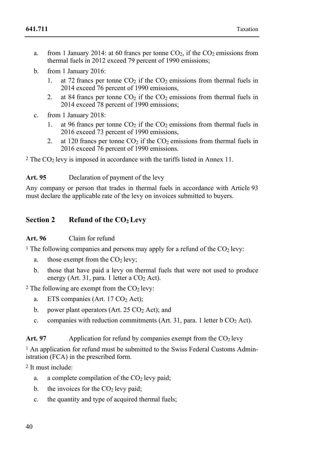- a. from 1 January 2014: at 60 francs per tonne  $CO<sub>2</sub>$ , if the  $CO<sub>2</sub>$  emissions from thermal fuels in 2012 exceed 79 percent of 1990 emissions:
- b. from 1 January 2016:
	- 1. at 72 francs per tonne  $CO<sub>2</sub>$  if the  $CO<sub>2</sub>$  emissions from thermal fuels in 2014 exceed 76 percent of 1990 emissions,
	- 2. at 84 francs per tonne  $CO<sub>2</sub>$  if the  $CO<sub>2</sub>$  emissions from thermal fuels in 2014 exceed 78 percent of 1990 emissions;
- c. from 1 January 2018:
	- 1. at 96 francs per tonne  $CO<sub>2</sub>$  if the  $CO<sub>2</sub>$  emissions from thermal fuels in 2016 exceed 73 percent of 1990 emissions,
	- 2. at 120 francs per tonne  $CO<sub>2</sub>$  if the  $CO<sub>2</sub>$  emissions from thermal fuels in 2016 exceed 76 percent of 1990 emissions.

 $2$  The CO<sub>2</sub> levy is imposed in accordance with the tariffs listed in Annex 11.

Art. 95 Declaration of payment of the levy

Any company or person that trades in thermal fuels in accordance with Article 93 must declare the applicable rate of the levy on invoices submitted to buyers.

## Section 2 Refund of the CO<sub>2</sub> Levy

#### **Art. 96** Claim for refund

<sup>1</sup> The following companies and persons may apply for a refund of the  $CO<sub>2</sub>$  levy:

- a. those exempt from the  $CO<sub>2</sub>$  levy;
- b. those that have paid a levy on thermal fuels that were not used to produce energy (Art. 31, para. 1 letter a  $CO<sub>2</sub>$  Act).

<sup>2</sup> The following are exempt from the  $CO<sub>2</sub>$  levy:

- a. ETS companies (Art.  $17 \text{ CO}_2$  Act);
- b. power plant operators (Art.  $25 \text{ CO}_2$  Act); and
- c. companies with reduction commitments (Art. 31, para. 1 letter  $b CO<sub>2</sub>$  Act).

#### Art. 97 Application for refund by companies exempt from the  $CO<sub>2</sub>$  levy

<sup>1</sup> An application for refund must be submitted to the Swiss Federal Customs Administration (FCA) in the prescribed form.

2 It must include:

- a. a complete compilation of the  $CO<sub>2</sub>$  levy paid;
- b. the invoices for the  $CO<sub>2</sub>$  levy paid;
- c. the quantity and type of acquired thermal fuels;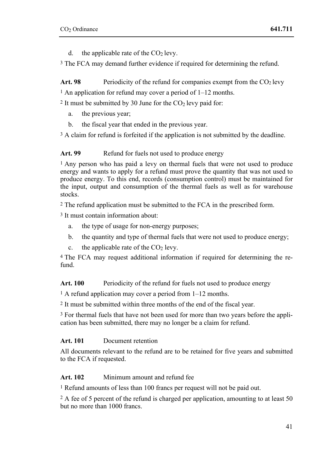d. the applicable rate of the  $CO<sub>2</sub>$  levy.

3 The FCA may demand further evidence if required for determining the refund.

Art. 98 Periodicity of the refund for companies exempt from the  $CO<sub>2</sub>$  levy

<sup>1</sup> An application for refund may cover a period of  $1-12$  months.

 $2$  It must be submitted by 30 June for the  $CO<sub>2</sub>$  levy paid for:

- a. the previous year;
- b. the fiscal year that ended in the previous year.

<sup>3</sup> A claim for refund is forfeited if the application is not submitted by the deadline.

Art. 99 Refund for fuels not used to produce energy

<sup>1</sup> Any person who has paid a levy on thermal fuels that were not used to produce energy and wants to apply for a refund must prove the quantity that was not used to produce energy. To this end, records (consumption control) must be maintained for the input, output and consumption of the thermal fuels as well as for warehouse stocks.

2 The refund application must be submitted to the FCA in the prescribed form.

3 It must contain information about:

- a. the type of usage for non-energy purposes;
- b. the quantity and type of thermal fuels that were not used to produce energy;
- c. the applicable rate of the  $CO<sub>2</sub>$  levy.

4 The FCA may request additional information if required for determining the refund.

Art. 100 Periodicity of the refund for fuels not used to produce energy

1 A refund application may cover a period from 1–12 months.

2 It must be submitted within three months of the end of the fiscal year.

<sup>3</sup> For thermal fuels that have not been used for more than two vears before the application has been submitted, there may no longer be a claim for refund.

## **Art. 101** Document retention

All documents relevant to the refund are to be retained for five years and submitted to the FCA if requested.

**Art. 102** Minimum amount and refund fee

1 Refund amounts of less than 100 francs per request will not be paid out.

2 A fee of 5 percent of the refund is charged per application, amounting to at least 50 but no more than 1000 francs.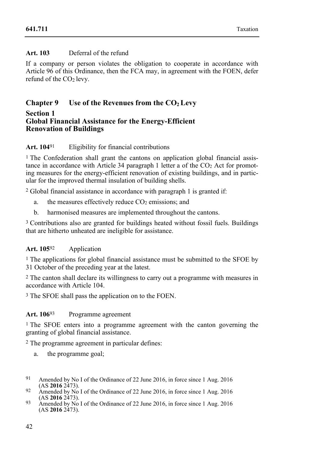### **Art. 103** Deferral of the refund

If a company or person violates the obligation to cooperate in accordance with Article 96 of this Ordinance, then the FCA may, in agreement with the FOEN, defer refund of the  $CO<sub>2</sub>$  levy.

## **Chapter 9** Use of the Revenues from the CO<sub>2</sub> Levy

#### **Section 1 Global Financial Assistance for the Energy-Efficient Renovation of Buildings**

### **Art. 104**91 Eligibility for financial contributions

1 The Confederation shall grant the cantons on application global financial assistance in accordance with Article 34 paragraph 1 letter a of the  $CO<sub>2</sub>$  Act for promoting measures for the energy-efficient renovation of existing buildings, and in particular for the improved thermal insulation of building shells.

2 Global financial assistance in accordance with paragraph 1 is granted if:

- a. the measures effectively reduce  $CO<sub>2</sub>$  emissions; and
- b. harmonised measures are implemented throughout the cantons.

3 Contributions also are granted for buildings heated without fossil fuels. Buildings that are hitherto unheated are ineligible for assistance.

#### **Art. 105**92 Application

<sup>1</sup> The applications for global financial assistance must be submitted to the SFOE by 31 October of the preceding year at the latest.

2 The canton shall declare its willingness to carry out a programme with measures in accordance with Article 104.

3 The SFOE shall pass the application on to the FOEN.

#### **Art. 106**93 Programme agreement

1 The SFOE enters into a programme agreement with the canton governing the granting of global financial assistance.

2 The programme agreement in particular defines:

- a. the programme goal;
- $91$ Amended by No I of the Ordinance of 22 June 2016, in force since 1 Aug. 2016 (AS 2016 2473).
- <sup>92</sup> Amended by No I of the Ordinance of 22 June 2016, in force since 1 Aug. 2016<br>(AS **2016** 2473).
- $\frac{93}{2}$  Amended by No I of the Ordinance of 22 June 2016, in force since 1 Aug. 2016 (AS **2016** 2473).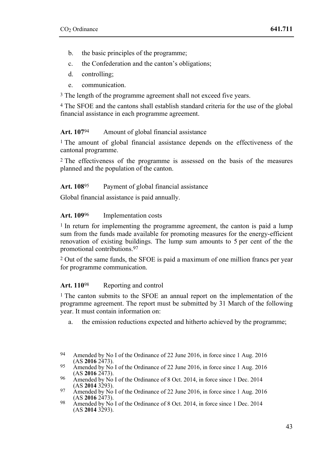- b. the basic principles of the programme;
- c. the Confederation and the canton's obligations;
- d. controlling;
- e. communication.

<sup>3</sup> The length of the programme agreement shall not exceed five years.

4 The SFOE and the cantons shall establish standard criteria for the use of the global financial assistance in each programme agreement.

#### Art. 107<sup>94</sup> Amount of global financial assistance

1 The amount of global financial assistance depends on the effectiveness of the cantonal programme.

2 The effectiveness of the programme is assessed on the basis of the measures planned and the population of the canton.

#### **Art. 108**95 Payment of global financial assistance

Global financial assistance is paid annually.

#### Art. 109<sup>96</sup> Implementation costs

<sup>1</sup> In return for implementing the programme agreement, the canton is paid a lump sum from the funds made available for promoting measures for the energy-efficient renovation of existing buildings. The lump sum amounts to 5 per cent of the the promotional contributions.97

2 Out of the same funds, the SFOE is paid a maximum of one million francs per year for programme communication.

#### Art. 110<sup>98</sup> Reporting and control

1 The canton submits to the SFOE an annual report on the implementation of the programme agreement. The report must be submitted by 31 March of the following year. It must contain information on:

a. the emission reductions expected and hitherto achieved by the programme;

<sup>94</sup> Amended by No I of the Ordinance of 22 June 2016, in force since 1 Aug. 2016 (AS 2016 2473).

<sup>&</sup>lt;sup>95</sup> Amended by No I of the Ordinance of 22 June 2016, in force since 1 Aug. 2016<br>(AS **2016** 2473).

<sup>&</sup>lt;sup>96</sup> Amended by No I of the Ordinance of 8 Oct. 2014, in force since 1 Dec. 2014 (AS **2014** 3293).

<sup>&</sup>lt;sup>97</sup> Amended by No I of the Ordinance of 22 June 2016, in force since 1 Aug. 2016<br>(AS **2016** 2473).

<sup>&</sup>lt;sup>98</sup> Amended by No I of the Ordinance of 8 Oct. 2014, in force since 1 Dec. 2014  $(AS 2014 3293).$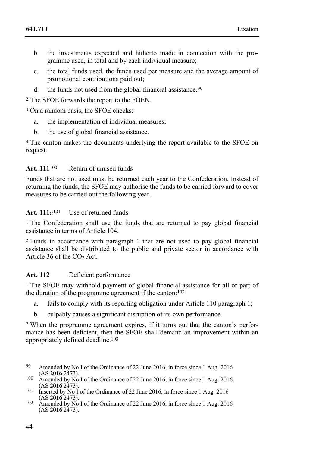- b. the investments expected and hitherto made in connection with the programme used, in total and by each individual measure;
- c. the total funds used, the funds used per measure and the average amount of promotional contributions paid out;
- d. the funds not used from the global financial assistance.<sup>99</sup>

2 The SFOE forwards the report to the FOEN.

<sup>3</sup> On a random basis, the SFOE checks:

- a. the implementation of individual measures;
- b. the use of global financial assistance.

4 The canton makes the documents underlying the report available to the SFOE on request.

#### **Art. 111**100 Return of unused funds

Funds that are not used must be returned each year to the Confederation. Instead of returning the funds, the SFOE may authorise the funds to be carried forward to cover measures to be carried out the following year.

### Art. 111*a*<sup>101</sup> Use of returned funds

1 The Confederation shall use the funds that are returned to pay global financial assistance in terms of Article 104.

2 Funds in accordance with paragraph 1 that are not used to pay global financial assistance shall be distributed to the public and private sector in accordance with Article  $36$  of the  $CO<sub>2</sub>$  Act.

#### **Art. 112** Deficient performance

1 The SFOE may withhold payment of global financial assistance for all or part of the duration of the programme agreement if the canton:102

- a. fails to comply with its reporting obligation under Article 110 paragraph 1;
- b. culpably causes a significant disruption of its own performance.

2 When the programme agreement expires, if it turns out that the canton's performance has been deficient, then the SFOE shall demand an improvement within an appropriately defined deadline.103

- 99 Amended by No I of the Ordinance of 22 June 2016, in force since 1 Aug. 2016 (AS 2016 2473).
- 100 Amended by No I of the Ordinance of 22 June 2016, in force since 1 Aug. 2016<br>(AS **2016** 2473).
- <sup>101</sup> Inserted by No I of the Ordinance of 22 June 2016, in force since 1 Aug. 2016 (AS **2016** 2473).
- <sup>102</sup> Amended by No I of the Ordinance of 22 June 2016, in force since 1 Aug. 2016 (AS **2016** 2473).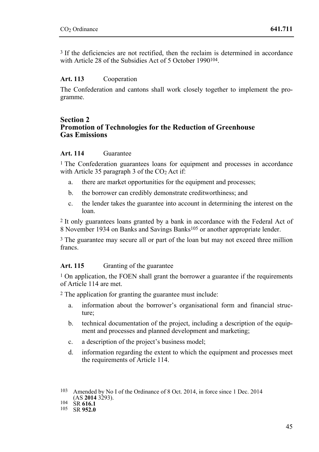3 If the deficiencies are not rectified, then the reclaim is determined in accordance with Article 28 of the Subsidies Act of 5 October 1990<sup>104</sup>

#### **Art. 113** Cooperation

The Confederation and cantons shall work closely together to implement the programme.

#### **Section 2 Promotion of Technologies for the Reduction of Greenhouse Gas Emissions**

#### **Art. 114** Guarantee

<sup>1</sup> The Confederation guarantees loans for equipment and processes in accordance with Article 35 paragraph 3 of the  $CO<sub>2</sub>$  Act if:

- a. there are market opportunities for the equipment and processes;
- b. the borrower can credibly demonstrate creditworthiness; and
- c. the lender takes the guarantee into account in determining the interest on the loan.

2 It only guarantees loans granted by a bank in accordance with the Federal Act of 8 November 1934 on Banks and Savings Banks<sup>105</sup> or another appropriate lender.

3 The guarantee may secure all or part of the loan but may not exceed three million francs.

#### Art. 115 Granting of the guarantee

1 On application, the FOEN shall grant the borrower a guarantee if the requirements of Article 114 are met.

2 The application for granting the guarantee must include:

- a. information about the borrower's organisational form and financial structure;
- b. technical documentation of the project, including a description of the equipment and processes and planned development and marketing;
- c. a description of the project's business model;
- d. information regarding the extent to which the equipment and processes meet the requirements of Article 114.

<sup>&</sup>lt;sup>103</sup> Amended by No I of the Ordinance of 8 Oct. 2014, in force since 1 Dec. 2014 (AS **2014** 3293).

<sup>(</sup>AS **2014** 3293). 104 SR **616.1** 105 SR **952.0**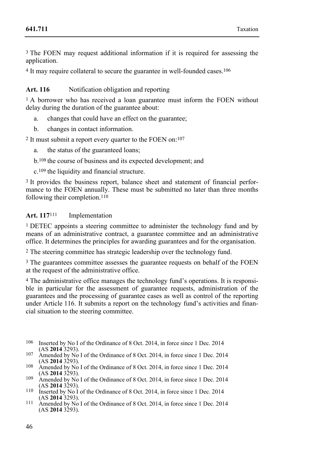3 The FOEN may request additional information if it is required for assessing the application.

<sup>4</sup> It may require collateral to secure the guarantee in well-founded cases.<sup>106</sup>

Art. 116 Notification obligation and reporting

<sup>1</sup> A borrower who has received a loan guarantee must inform the FOEN without delay during the duration of the guarantee about:

a. changes that could have an effect on the guarantee;

b. changes in contact information.

2 It must submit a report every quarter to the FOEN on:107

a. the status of the guaranteed loans;

b.108 the course of business and its expected development; and

c.109 the liquidity and financial structure.

3 It provides the business report, balance sheet and statement of financial performance to the FOEN annually. These must be submitted no later than three months following their completion.110

### Art. 117<sup>111</sup> Implementation

1 DETEC appoints a steering committee to administer the technology fund and by means of an administrative contract, a guarantee committee and an administrative office. It determines the principles for awarding guarantees and for the organisation.

2 The steering committee has strategic leadership over the technology fund.

3 The guarantees committee assesses the guarantee requests on behalf of the FOEN at the request of the administrative office.

4 The administrative office manages the technology fund's operations. It is responsible in particular for the assessment of guarantee requests, administration of the guarantees and the processing of guarantee cases as well as control of the reporting under Article 116. It submits a report on the technology fund's activities and financial situation to the steering committee.

- 106 Inserted by No I of the Ordinance of 8 Oct. 2014, in force since 1 Dec. 2014 (AS 2014 3293).
- 107 Amended by No I of the Ordinance of 8 Oct. 2014, in force since 1 Dec. 2014 (AS **2014** 3293).
- <sup>108</sup> Amended by No I of the Ordinance of 8 Oct. 2014, in force since 1 Dec. 2014 (AS **2014** 3293).
- 109 Amended by No I of the Ordinance of 8 Oct. 2014, in force since 1 Dec. 2014 (AS **2014** 3293).
- <sup>110</sup> Inserted by No I of the Ordinance of 8 Oct. 2014, in force since 1 Dec. 2014 (AS **2014** 3293).
- $\frac{111}{2}$  Amended by No I of the Ordinance of 8 Oct. 2014, in force since 1 Dec. 2014  $(AS 2014 3293).$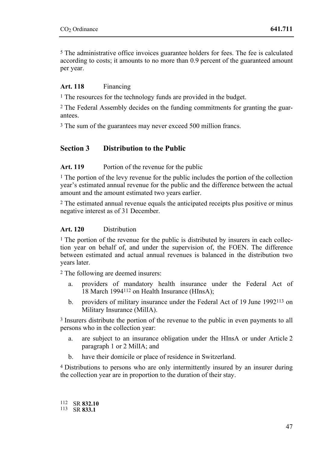5 The administrative office invoices guarantee holders for fees. The fee is calculated according to costs; it amounts to no more than 0.9 percent of the guaranteed amount per year.

#### **Art. 118** Financing

<sup>1</sup> The resources for the technology funds are provided in the budget.

2 The Federal Assembly decides on the funding commitments for granting the guarantees.

3 The sum of the guarantees may never exceed 500 million francs.

## **Section 3 Distribution to the Public**

#### Art. 119 Portion of the revenue for the public

 $<sup>1</sup>$  The portion of the levy revenue for the public includes the portion of the collection</sup> year's estimated annual revenue for the public and the difference between the actual amount and the amount estimated two years earlier.

2 The estimated annual revenue equals the anticipated receipts plus positive or minus negative interest as of 31 December.

#### **Art. 120** Distribution

<sup>1</sup> The portion of the revenue for the public is distributed by insurers in each collection year on behalf of, and under the supervision of, the FOEN. The difference between estimated and actual annual revenues is balanced in the distribution two years later.

2 The following are deemed insurers:

- a. providers of mandatory health insurance under the Federal Act of 18 March 1994112 on Health Insurance (HInsA);
- b. providers of military insurance under the Federal Act of 19 June 1992113 on Military Insurance (MilIA).

3 Insurers distribute the portion of the revenue to the public in even payments to all persons who in the collection year:

- a. are subject to an insurance obligation under the HInsA or under Article 2 paragraph 1 or 2 MilIA; and
- b. have their domicile or place of residence in Switzerland.

4 Distributions to persons who are only intermittently insured by an insurer during the collection year are in proportion to the duration of their stay.

112 SR 832.10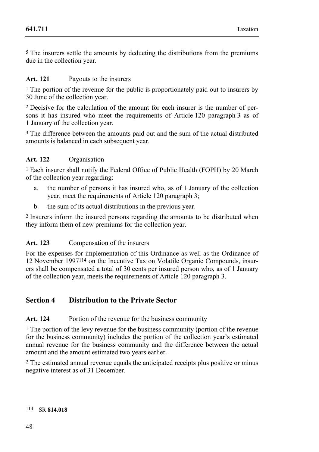5 The insurers settle the amounts by deducting the distributions from the premiums due in the collection year.

#### **Art. 121** Payouts to the insurers

<sup>1</sup> The portion of the revenue for the public is proportionately paid out to insurers by 30 June of the collection year.

2 Decisive for the calculation of the amount for each insurer is the number of persons it has insured who meet the requirements of Article 120 paragraph 3 as of 1 January of the collection year.

<sup>3</sup> The difference between the amounts paid out and the sum of the actual distributed amounts is balanced in each subsequent year.

#### **Art. 122** Organisation

1 Each insurer shall notify the Federal Office of Public Health (FOPH) by 20 March of the collection year regarding:

- a. the number of persons it has insured who, as of 1 January of the collection year, meet the requirements of Article 120 paragraph 3;
- b. the sum of its actual distributions in the previous year.

2 Insurers inform the insured persons regarding the amounts to be distributed when they inform them of new premiums for the collection year.

#### **Art. 123** Compensation of the insurers

For the expenses for implementation of this Ordinance as well as the Ordinance of 12 November 1997114 on the Incentive Tax on Volatile Organic Compounds, insurers shall be compensated a total of 30 cents per insured person who, as of 1 January of the collection year, meets the requirements of Article 120 paragraph 3.

## **Section 4 Distribution to the Private Sector**

#### Art. 124 Portion of the revenue for the business community

1 The portion of the levy revenue for the business community (portion of the revenue for the business community) includes the portion of the collection year's estimated annual revenue for the business community and the difference between the actual amount and the amount estimated two years earlier.

2 The estimated annual revenue equals the anticipated receipts plus positive or minus negative interest as of 31 December.

#### 114 SR **814.018**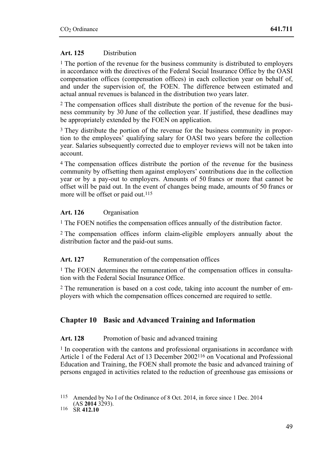### **Art. 125** Distribution

1 The portion of the revenue for the business community is distributed to employers in accordance with the directives of the Federal Social Insurance Office by the OASI compensation offices (compensation offices) in each collection year on behalf of, and under the supervision of, the FOEN. The difference between estimated and actual annual revenues is balanced in the distribution two years later.

2 The compensation offices shall distribute the portion of the revenue for the business community by 30 June of the collection year. If justified, these deadlines may be appropriately extended by the FOEN on application.

3 They distribute the portion of the revenue for the business community in proportion to the employees' qualifying salary for OASI two years before the collection year. Salaries subsequently corrected due to employer reviews will not be taken into account.

4 The compensation offices distribute the portion of the revenue for the business community by offsetting them against employers' contributions due in the collection year or by a pay-out to employers. Amounts of 50 francs or more that cannot be offset will be paid out. In the event of changes being made, amounts of 50 francs or more will be offset or paid out.<sup>115</sup>

#### **Art. 126** Organisation

1 The FOEN notifies the compensation offices annually of the distribution factor.

2 The compensation offices inform claim-eligible employers annually about the distribution factor and the paid-out sums.

#### Art. 127 Remuneration of the compensation offices

1 The FOEN determines the remuneration of the compensation offices in consultation with the Federal Social Insurance Office.

2 The remuneration is based on a cost code, taking into account the number of employers with which the compensation offices concerned are required to settle.

## **Chapter 10 Basic and Advanced Training and Information**

#### Art. 128 Promotion of basic and advanced training

<sup>1</sup> In cooperation with the cantons and professional organisations in accordance with Article 1 of the Federal Act of 13 December 2002116 on Vocational and Professional Education and Training, the FOEN shall promote the basic and advanced training of persons engaged in activities related to the reduction of greenhouse gas emissions or

<sup>&</sup>lt;sup>115</sup> Amended by No I of the Ordinance of 8 Oct. 2014, in force since 1 Dec. 2014 (AS **2014** 3293).

<sup>(</sup>AS **2014** 3293). 116 SR **412.10**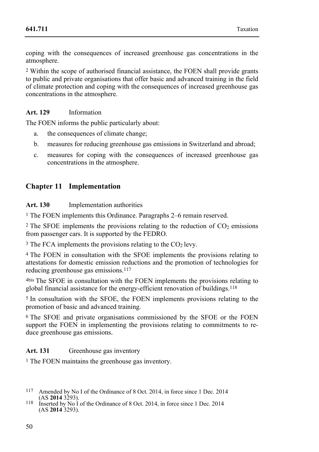coping with the consequences of increased greenhouse gas concentrations in the atmosphere.

2 Within the scope of authorised financial assistance, the FOEN shall provide grants to public and private organisations that offer basic and advanced training in the field of climate protection and coping with the consequences of increased greenhouse gas concentrations in the atmosphere.

### **Art. 129** Information

The FOEN informs the public particularly about:

- a. the consequences of climate change;
- b. measures for reducing greenhouse gas emissions in Switzerland and abroad;
- c. measures for coping with the consequences of increased greenhouse gas concentrations in the atmosphere.

## **Chapter 11 Implementation**

#### **Art. 130** Implementation authorities

1 The FOEN implements this Ordinance. Paragraphs 2–6 remain reserved.

 $2$  The SFOE implements the provisions relating to the reduction of  $CO<sub>2</sub>$  emissions from passenger cars. It is supported by the FEDRO.

 $3$  The FCA implements the provisions relating to the CO<sub>2</sub> levy.

4 The FOEN in consultation with the SFOE implements the provisions relating to attestations for domestic emission reductions and the promotion of technologies for reducing greenhouse gas emissions.117

4bis The SFOE in consultation with the FOEN implements the provisions relating to global financial assistance for the energy-efficient renovation of buildings.118

5 In consultation with the SFOE, the FOEN implements provisions relating to the promotion of basic and advanced training.

6 The SFOE and private organisations commissioned by the SFOE or the FOEN support the FOEN in implementing the provisions relating to commitments to reduce greenhouse gas emissions.

#### Art. 131 Greenhouse gas inventory

1 The FOEN maintains the greenhouse gas inventory.

- <sup>117</sup> Amended by No I of the Ordinance of 8 Oct. 2014, in force since 1 Dec. 2014 (AS **2014** 3293).
- <sup>118</sup> Inserted by No I of the Ordinance of 8 Oct. 2014, in force since 1 Dec. 2014 (AS **2014** 3293).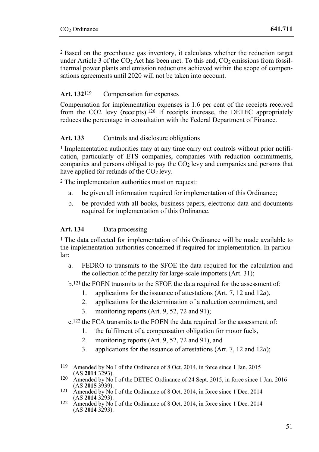2 Based on the greenhouse gas inventory, it calculates whether the reduction target under Article 3 of the  $CO<sub>2</sub>$  Act has been met. To this end,  $CO<sub>2</sub>$  emissions from fossilthermal power plants and emission reductions achieved within the scope of compensations agreements until 2020 will not be taken into account.

### **Art. 132**119 Compensation for expenses

Compensation for implementation expenses is 1.6 per cent of the receipts received from the CO2 levy (receipts).120 If receipts increase, the DETEC appropriately reduces the percentage in consultation with the Federal Department of Finance.

### Art. 133 Controls and disclosure obligations

1 Implementation authorities may at any time carry out controls without prior notification, particularly of ETS companies, companies with reduction commitments, companies and persons obliged to pay the  $CO<sub>2</sub>$  levy and companies and persons that have applied for refunds of the  $CO<sub>2</sub>$  levy.

2 The implementation authorities must on request:

- a. be given all information required for implementation of this Ordinance;
- b. be provided with all books, business papers, electronic data and documents required for implementation of this Ordinance.

#### **Art. 134** Data processing

1 The data collected for implementation of this Ordinance will be made available to the implementation authorities concerned if required for implementation. In particular:

a. FEDRO to transmits to the SFOE the data required for the calculation and the collection of the penalty for large-scale importers (Art. 31);

b.121 the FOEN transmits to the SFOE the data required for the assessment of:

- 1. applications for the issuance of attestations (Art. 7, 12 and 12*a*),
- 2. applications for the determination of a reduction commitment, and
- 3. monitoring reports (Art. 9, 52, 72 and 91);

c.122 the FCA transmits to the FOEN the data required for the assessment of:

- 1. the fulfilment of a compensation obligation for motor fuels,
- 2. monitoring reports (Art. 9, 52, 72 and 91), and
- 3. applications for the issuance of attestations (Art. 7, 12 and 12*a*);
- 119 Amended by No I of the Ordinance of 8 Oct. 2014, in force since 1 Jan. 2015 (AS 2014 3293).
- <sup>120</sup> Amended by No I of the DETEC Ordinance of 24 Sept. 2015, in force since 1 Jan. 2016<br>(AS **2015** 3939).
- <sup>121</sup> Amended by No I of the Ordinance of 8 Oct. 2014, in force since 1 Dec. 2014 (AS **2014** 3293).
- <sup>122</sup> Amended by No I of the Ordinance of 8 Oct. 2014, in force since 1 Dec. 2014  $(AS 2014 3293).$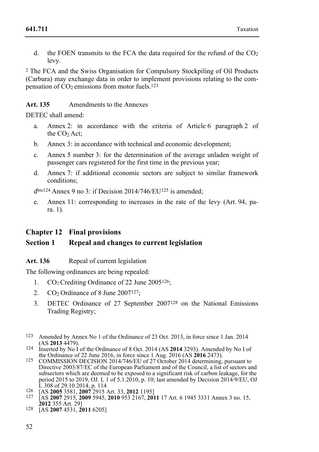d. the FOEN transmits to the FCA the data required for the refund of the  $CO<sub>2</sub>$ levy.

2 The FCA and the Swiss Organisation for Compulsory Stockpiling of Oil Products (Carbura) may exchange data in order to implement provisions relating to the compensation of  $CO<sub>2</sub>$  emissions from motor fuels.<sup>123</sup>

**Art. 135** Amendments to the Annexes

DETEC shall amend:

- a. Annex 2: in accordance with the criteria of Article 6 paragraph 2 of the CO<sub>2</sub> Act:
- b. Annex 3: in accordance with technical and economic development;
- c. Annex 5 number 3: for the determination of the average unladen weight of passenger cars registered for the first time in the previous year;
- d. Annex 7: if additional economic sectors are subject to similar framework conditions;

 $d<sup>bis124</sup>$  Annex 9 no 3: if Decision 2014/746/EU<sup>125</sup> is amended;

e. Annex 11: corresponding to increases in the rate of the levy (Art. 94, para. 1).

## **Chapter 12 Final provisions**

## **Section 1 Repeal and changes to current legislation**

Art. 136 Repeal of current legislation

The following ordinances are being repealed:

- 1.  $CO<sub>2</sub>$  Crediting Ordinance of 22 June 2005<sup>126</sup>;
- 2.  $CO<sub>2</sub>$  Ordinance of 8 June 2007<sup>127</sup>:
- 3. DETEC Ordinance of 27 September 2007128 on the National Emissions Trading Registry;
- 123 Amended by Annex No 1 of the Ordinance of 23 Oct. 2013, in force since 1 Jan. 2014
- <sup>124</sup> Inserted by No I of the Ordinance of 8 Oct. 2014 (AS **2014** 3293). Amended by No I of the Ordinance of 22 June 2016. in force since 1 Aug. 2016 (AS **2016** 2473).
- 125 COMMISSION DECISION 2014/746/EU of 27 October 2014 determining, pursuant to Directive 2003/87/EC of the European Parliament and of the Council, a list of sectors and subsectors which are deemed to be exposed to a significant risk of carbon leakage, for the period 2015 to 2019, OJ. L 1 of 5.1.2010, p. 10; last amended by Decision 2014/9/EU, OJ
- 
- L 308 of 29.10.2014, p. 114 126 [AS **2005** 3581, **2007** 2915 Art. 33, **2012** 1195] 127 [AS **2007** 2915, **2009** 5945, **2010** 953 2167, **2011** 17 Art. 6 1945 3331 Annex 3 no. 15, **<sup>2012</sup>**355 Art. 29] 128 [AS **2007** 4531, **2011** 6205]
-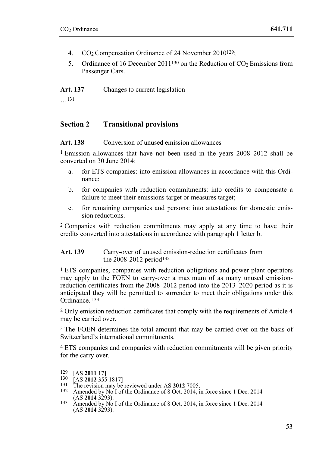- 4.  $CO<sub>2</sub>$  Compensation Ordinance of 24 November 2010<sup>129</sup>;
- 5. Ordinance of 16 December 2011<sup>130</sup> on the Reduction of  $CO<sub>2</sub>$  Emissions from Passenger Cars.

**Art. 137** Changes to current legislation

…131

## **Section 2 Transitional provisions**

**Art. 138** Conversion of unused emission allowances

1 Emission allowances that have not been used in the years 2008–2012 shall be converted on 30 June 2014:

- a. for ETS companies: into emission allowances in accordance with this Ordinance;
- b. for companies with reduction commitments: into credits to compensate a failure to meet their emissions target or measures target;
- c. for remaining companies and persons: into attestations for domestic emission reductions.

2 Companies with reduction commitments may apply at any time to have their credits converted into attestations in accordance with paragraph 1 letter b.

#### **Art. 139** Carry-over of unused emission-reduction certificates from the 2008-2012 period132

1 ETS companies, companies with reduction obligations and power plant operators may apply to the FOEN to carry-over a maximum of as many unused emissionreduction certificates from the 2008–2012 period into the 2013–2020 period as it is anticipated they will be permitted to surrender to meet their obligations under this Ordinance. 133

2 Only emission reduction certificates that comply with the requirements of Article 4 may be carried over.

3 The FOEN determines the total amount that may be carried over on the basis of Switzerland's international commitments.

4 ETS companies and companies with reduction commitments will be given priority for the carry over.

- 
- 129 [AS **2011** 17]<br>
130 [AS **2012** 355 1817]<br>
131 The revision may be reviewed under AS **2012** 7005.<br>
132 Amended by No I of the Ordinance of 8 Oct. 2014, in force since 1 Dec. 2014<br>
(AS **2014** 3293)
- <sup>133</sup> Amended by No I of the Ordinance of 8 Oct. 2014, in force since 1 Dec. 2014  $(AS 2014 3293).$

<sup>129</sup>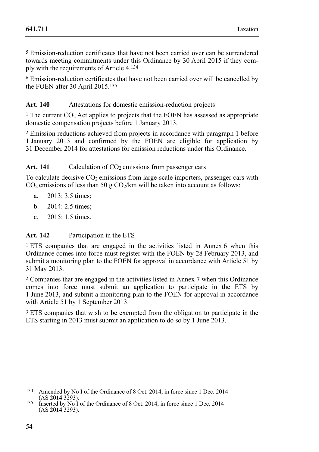5 Emission-reduction certificates that have not been carried over can be surrendered towards meeting commitments under this Ordinance by 30 April 2015 if they comply with the requirements of Article 4.134

6 Emission-reduction certificates that have not been carried over will be cancelled by the FOEN after 30 April 2015.135

Art. 140 Attestations for domestic emission-reduction projects

<sup>1</sup> The current CO<sub>2</sub> Act applies to projects that the FOEN has assessed as appropriate domestic compensation projects before 1 January 2013.

2 Emission reductions achieved from projects in accordance with paragraph 1 before 1 January 2013 and confirmed by the FOEN are eligible for application by 31 December 2014 for attestations for emission reductions under this Ordinance.

### Art. 141 Calculation of CO<sub>2</sub> emissions from passenger cars

To calculate decisive  $CO<sub>2</sub>$  emissions from large-scale importers, passenger cars with  $CO<sub>2</sub>$  emissions of less than 50 g  $CO<sub>2</sub>/km$  will be taken into account as follows:

- a. 2013: 3.5 times;
- b. 2014: 2.5 times;
- c. 2015: 1.5 times.

#### **Art. 142** Participation in the ETS

1 ETS companies that are engaged in the activities listed in Annex 6 when this Ordinance comes into force must register with the FOEN by 28 February 2013, and submit a monitoring plan to the FOEN for approval in accordance with Article 51 by 31 May 2013.

2 Companies that are engaged in the activities listed in Annex 7 when this Ordinance comes into force must submit an application to participate in the ETS by 1 June 2013, and submit a monitoring plan to the FOEN for approval in accordance with Article 51 by 1 September 2013.

<sup>3</sup> ETS companies that wish to be exempted from the obligation to participate in the ETS starting in 2013 must submit an application to do so by 1 June 2013.

- <sup>134</sup> Amended by No I of the Ordinance of 8 Oct. 2014, in force since 1 Dec. 2014 (AS **2014** 3293).
- <sup>135</sup> Inserted by No I of the Ordinance of 8 Oct. 2014, in force since 1 Dec. 2014 (AS **2014** 3293).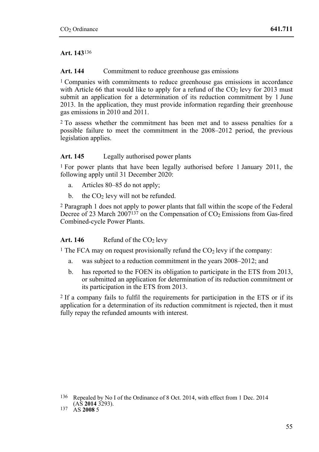#### **Art. 143**136

#### Art. 144 Commitment to reduce greenhouse gas emissions

1 Companies with commitments to reduce greenhouse gas emissions in accordance with Article 66 that would like to apply for a refund of the  $CO<sub>2</sub>$  levy for 2013 must submit an application for a determination of its reduction commitment by 1 June 2013. In the application, they must provide information regarding their greenhouse gas emissions in 2010 and 2011.

2 To assess whether the commitment has been met and to assess penalties for a possible failure to meet the commitment in the 2008–2012 period, the previous legislation applies.

#### Art. 145 Legally authorised power plants

1 For power plants that have been legally authorised before 1 January 2011, the following apply until 31 December 2020:

- a. Articles 80–85 do not apply;
- b. the  $CO<sub>2</sub>$  levy will not be refunded.

2 Paragraph 1 does not apply to power plants that fall within the scope of the Federal Decree of 23 March  $2007^{137}$  on the Compensation of  $CO<sub>2</sub>$  Emissions from Gas-fired Combined-cycle Power Plants.

#### Art.  $146$  Refund of the  $CO<sub>2</sub>$  levy

<sup>1</sup> The FCA may on request provisionally refund the  $CO<sub>2</sub>$  levy if the company:

- a. was subject to a reduction commitment in the years 2008–2012; and
- b. has reported to the FOEN its obligation to participate in the ETS from 2013, or submitted an application for determination of its reduction commitment or its participation in the ETS from 2013.

2 If a company fails to fulfil the requirements for participation in the ETS or if its application for a determination of its reduction commitment is rejected, then it must fully repay the refunded amounts with interest.

<sup>&</sup>lt;sup>136</sup> Repealed by No I of the Ordinance of 8 Oct. 2014, with effect from 1 Dec. 2014 (AS **2014** 3293).

<sup>(</sup>AS **2014** 3293). 137 AS **2008** 5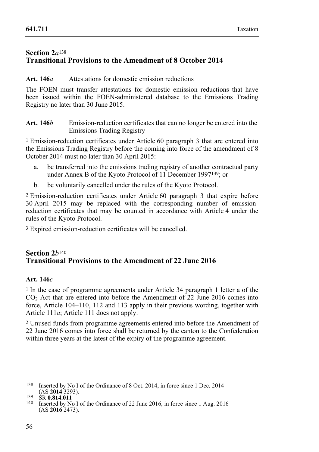## **Section 2***a*<sup>138</sup> **Transitional Provisions to the Amendment of 8 October 2014**

#### **Art. 146***a* Attestations for domestic emission reductions

The FOEN must transfer attestations for domestic emission reductions that have been issued within the FOEN-administered database to the Emissions Trading Registry no later than 30 June 2015.

**Art. 146***b* Emission-reduction certificates that can no longer be entered into the Emissions Trading Registry

1 Emission-reduction certificates under Article 60 paragraph 3 that are entered into the Emissions Trading Registry before the coming into force of the amendment of 8 October 2014 must no later than 30 April 2015:

- a. be transferred into the emissions trading registry of another contractual party under Annex B of the Kyoto Protocol of 11 December 1997139; or
- b. be voluntarily cancelled under the rules of the Kyoto Protocol.

2 Emission-reduction certificates under Article 60 paragraph 3 that expire before 30 April 2015 may be replaced with the corresponding number of emissionreduction certificates that may be counted in accordance with Article 4 under the rules of the Kyoto Protocol.

3 Expired emission-reduction certificates will be cancelled.

## **Section 2***b*<sup>140</sup> **Transitional Provisions to the Amendment of 22 June 2016**

#### **Art. 146***c*

1 In the case of programme agreements under Article 34 paragraph 1 letter a of the CO2 Act that are entered into before the Amendment of 22 June 2016 comes into force, Article 104–110, 112 and 113 apply in their previous wording, together with Article 111*a*; Article 111 does not apply.

2 Unused funds from programme agreements entered into before the Amendment of 22 June 2016 comes into force shall be returned by the canton to the Confederation within three years at the latest of the expiry of the programme agreement.

 138 Inserted by No I of the Ordinance of 8 Oct. 2014, in force since 1 Dec. 2014 (AS **2014** 3293).<br>
<sup>139</sup> SR **0.814.011**<br>
<sup>140</sup> Inserted by No I of the Ordinance of 22 June 2016, in force since 1 Aug. 2016

<sup>(</sup>AS **2016** 2473).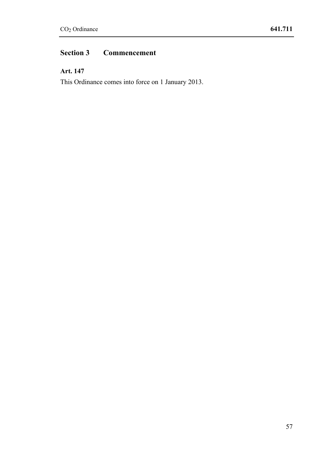# **Section 3 Commencement**

# **Art. 147**

This Ordinance comes into force on 1 January 2013.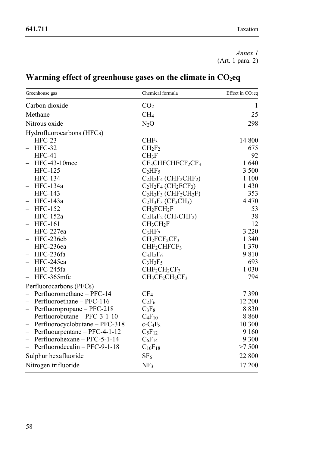*Annex 1*   $(Art. 1 para. 2)$ 

| Warming effect of greenhouse gases on the climate in $CO2eq$ |  |
|--------------------------------------------------------------|--|
|--------------------------------------------------------------|--|

| Greenhouse gas                             | Chemical formula                                                                 | Effect in CO <sub>2eq</sub> |
|--------------------------------------------|----------------------------------------------------------------------------------|-----------------------------|
| Carbon dioxide                             | CO <sub>2</sub>                                                                  | 1                           |
| Methane                                    | CH <sub>4</sub>                                                                  | 25                          |
| Nitrous oxide                              | $N_2O$                                                                           | 298                         |
| Hydrofluorocarbons (HFCs)                  |                                                                                  |                             |
| $HFC-23$                                   | CHF <sub>3</sub>                                                                 | 14 800                      |
| $HFC-32$                                   | CH <sub>2</sub> F <sub>2</sub>                                                   | 675                         |
| HFC-41                                     | CH <sub>3</sub> F                                                                | 92                          |
| HFC-43-10mee                               | $CF3CHFCHFCF2CF3$                                                                | 1640                        |
| <b>HFC-125</b>                             | $C_2HF_5$                                                                        | 3 500                       |
| <b>HFC-134</b><br>—                        | $C_2H_2F_4$ (CHF <sub>2</sub> CHF <sub>2</sub> )                                 | 1 100                       |
| HFC-134a<br>$\overline{\phantom{0}}$       | $C_2H_2F_4$ (CH <sub>2</sub> FCF <sub>3</sub> )                                  | 1 4 3 0                     |
| <b>HFC-143</b>                             | $C_2H_3F_3$ (CHF <sub>2</sub> CH <sub>2</sub> F)                                 | 353                         |
| HFC-143a<br>-                              | $C_2H_3F_3(CF_3CH_3)$                                                            | 4 4 7 0                     |
| <b>HFC-152</b><br>$\overline{\phantom{0}}$ | CH <sub>2</sub> FCH <sub>2</sub> F                                               | 53                          |
| $HFC-152a$                                 | C <sub>2</sub> H <sub>4</sub> F <sub>2</sub> (CH <sub>3</sub> CHF <sub>2</sub> ) | 38                          |
| <b>HFC-161</b><br>—                        | CH <sub>3</sub> CH <sub>2</sub> F                                                | 12                          |
| HFC-227ea<br>$\overline{\phantom{0}}$      | $C_3HF_7$                                                                        | 3 2 2 0                     |
| HFC-236cb                                  | $CH2FCF2CF3$                                                                     | 1 3 4 0                     |
| HFC-236ea<br>$\overline{\phantom{0}}$      | CHF <sub>2</sub> CHFCF <sub>3</sub>                                              | 1 3 7 0                     |
| HFC-236fa<br>$\overline{\phantom{0}}$      | $C_3H_2F_6$                                                                      | 9810                        |
| HFC-245ca                                  | $C_3H_3F_5$                                                                      | 693                         |
| HFC-245fa<br>-                             | CHF <sub>2</sub> CH <sub>2</sub> CF <sub>3</sub>                                 | 1 0 3 0                     |
| HFC-365mfc<br>$\overline{\phantom{0}}$     | $CH3CF2CH2CF3$                                                                   | 794                         |
| Perfluorocarbons (PFCs)                    |                                                                                  |                             |
| Perfluoromethane - PFC-14                  | CF <sub>4</sub>                                                                  | 7390                        |
| Perfluoroethane - PFC-116                  | $C_2F_6$                                                                         | 12 200                      |
| Perfluoropropane – PFC-218<br>-            | $C_3F_8$                                                                         | 8830                        |
| Perfluorobutane - PFC-3-1-10               | $C_4F_{10}$                                                                      | 8860                        |
| Perfluorocyclobutane - PFC-318<br>—        | $c-C_4F_8$                                                                       | 10 300                      |
| Perfluourpentane – PFC-4-1-12<br>—         | $C_5F_{12}$                                                                      | 9 1 6 0                     |
| Perfluorohexane - PFC-5-1-14<br>-          | $C_6F_{14}$                                                                      | 9 3 0 0                     |
| Perfluorodecalin - PFC-9-1-18<br>—         | $C_{10}F_{18}$                                                                   | >7500                       |
| Sulphur hexafluoride                       | SF <sub>6</sub>                                                                  | 22 800                      |
| Nitrogen trifluoride                       | NF <sub>3</sub>                                                                  | 17 200                      |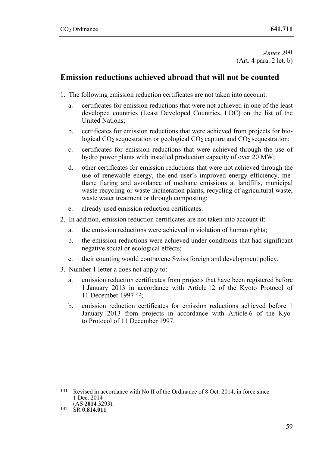*Annex 2*141 (Art. 4 para. 2 let. b)

# **Emission reductions achieved abroad that will not be counted**

- 1. The following emission reduction certificates are not taken into account:
	- a. certificates for emission reductions that were not achieved in one of the least developed countries (Least Developed Countries, LDC) on the list of the United Nations;
	- b. certificates for emission reductions that were achieved from projects for biological  $CO<sub>2</sub>$  sequestration or geological  $CO<sub>2</sub>$  capture and  $CO<sub>2</sub>$  sequestration;
	- c. certificates for emission reductions that were achieved through the use of hydro power plants with installed production capacity of over 20 MW;
	- d. other certificates for emission reductions that were not achieved through the use of renewable energy, the end user's improved energy efficiency, methane flaring and avoidance of methane emissions at landfills, municipal waste recycling or waste incineration plants, recycling of agricultural waste, waste water treatment or through composting;
	- e. already used emission reduction certificates.
- 2. In addition, emission reduction certificates are not taken into account if:
	- a. the emission reductions were achieved in violation of human rights;
	- b. the emission reductions were achieved under conditions that had significant negative social or ecological effects;
	- c. their counting would contravene Swiss foreign and development policy.
- 3. Number 1 letter a does not apply to:
	- a. emission reduction certificates from projects that have been registered before 1 January 2013 in accordance with Article 12 of the Kyoto Protocol of 11 December 1997142;
	- b. emission reduction certificates for emission reductions achieved before 1 January 2013 from projects in accordance with Article 6 of the Kyoto Protocol of 11 December 1997.

<sup>141</sup> Revised in accordance with No II of the Ordinance of 8 Oct. 2014, in force since 1 Dec. 2014<br>(AS 2014 3293).

<sup>(</sup>AS **2014** 3293). 142 SR **0.814.011**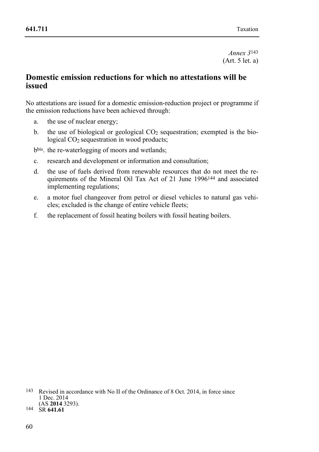*Annex 3*143 (Art. 5 let. a)

## **Domestic emission reductions for which no attestations will be issued**

No attestations are issued for a domestic emission-reduction project or programme if the emission reductions have been achieved through:

- a. the use of nuclear energy;
- b. the use of biological or geological  $CO<sub>2</sub>$  sequestration; exempted is the biological  $CO<sub>2</sub>$  sequestration in wood products;

bbis. the re-waterlogging of moors and wetlands;

- c. research and development or information and consultation;
- d. the use of fuels derived from renewable resources that do not meet the requirements of the Mineral Oil Tax Act of 21 June 1996144 and associated implementing regulations;
- e. a motor fuel changeover from petrol or diesel vehicles to natural gas vehicles; excluded is the change of entire vehicle fleets;
- f. the replacement of fossil heating boilers with fossil heating boilers.

<sup>143</sup> Revised in accordance with No II of the Ordinance of 8 Oct. 2014, in force since 1 Dec. 2014<br>(AS 2014 3293).

<sup>(</sup>AS **2014** 3293). 144 SR **641.61**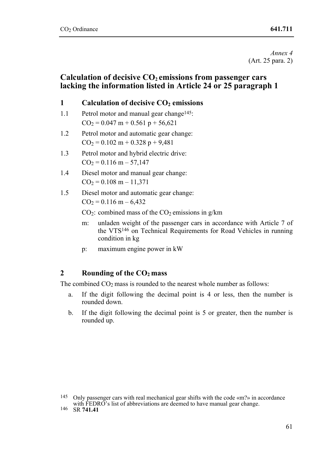*Annex 4*  (Art. 25 para. 2)

## Calculation of decisive CO<sub>2</sub> emissions from passenger cars **lacking the information listed in Article 24 or 25 paragraph 1**

## **1** Calculation of decisive CO<sub>2</sub> emissions

- 1.1 Petrol motor and manual gear change<sup>145</sup>:  $CO<sub>2</sub> = 0.047 m + 0.561 n + 56.621$
- 1.2 Petrol motor and automatic gear change:  $CO<sub>2</sub> = 0.102 m + 0.328 p + 9.481$
- 1.3 Petrol motor and hybrid electric drive:  $CO<sub>2</sub> = 0.116 m - 57,147$
- 1.4 Diesel motor and manual gear change:  $CO<sub>2</sub> = 0.108 m - 11,371$
- 1.5 Diesel motor and automatic gear change:

 $CO<sub>2</sub> = 0.116 m - 6,432$ 

 $CO<sub>2</sub>$ : combined mass of the  $CO<sub>2</sub>$  emissions in g/km

- m: unladen weight of the passenger cars in accordance with Article 7 of the VTS146 on Technical Requirements for Road Vehicles in running condition in kg
- p: maximum engine power in kW

## **2 Rounding of the CO2 mass**

The combined  $CO<sub>2</sub>$  mass is rounded to the nearest whole number as follows:

- a. If the digit following the decimal point is 4 or less, then the number is rounded down.
- b. If the digit following the decimal point is 5 or greater, then the number is rounded up.

<sup>145</sup> Only passenger cars with real mechanical gear shifts with the code «m?» in accordance with FEDRO's list of abbreviations are deemed to have manual gear change.<br><sup>146</sup> SR **741.41**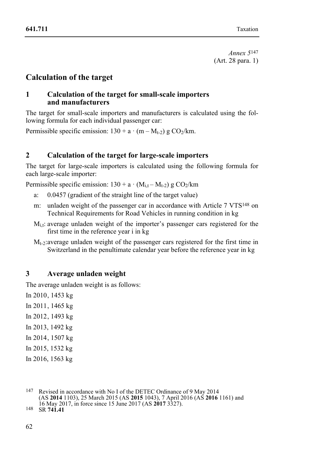*Annex 5*147 (Art. 28 para. 1)

# **Calculation of the target**

### **1 Calculation of the target for small-scale importers and manufacturers**

The target for small-scale importers and manufacturers is calculated using the following formula for each individual passenger car:

Permissible specific emission:  $130 + a \cdot (m - M_{t-2})$  g CO<sub>2</sub>/km.

## **2 Calculation of the target for large-scale importers**

The target for large-scale importers is calculated using the following formula for each large-scale importer:

Permissible specific emission:  $130 + a \cdot (M_{i,t} - M_{t-2})$  g  $CO_2/km$ 

- a: 0.0457 (gradient of the straight line of the target value)
- m: unladen weight of the passenger car in accordance with Article 7 VTS<sup>148</sup> on Technical Requirements for Road Vehicles in running condition in kg
- $M<sub>i</sub>$ t: average unladen weight of the importer's passenger cars registered for the first time in the reference year i in kg
- $M_{t-2}$ : average unladen weight of the passenger cars registered for the first time in Switzerland in the penultimate calendar year before the reference year in kg

## **3 Average unladen weight**

The average unladen weight is as follows:

In 2010 , 1453 kg In 2011 , 1465 kg In 2012 , 1493 kg In 2013, 1492 kg In 2014 , 1507 kg In 2015, 1532 kg In 2016, 1563 kg

<sup>147</sup> Revised in accordance with No I of the DETEC Ordinance of 9 May 2014 (AS **2014** 1103), 25 March 2015 (AS **2015** 1043), 7 April 2016 (AS **2016** 1161) and 16 May 2017, in force since 15 June 2017 (AS **2017** 3327). 148 SR **741.41**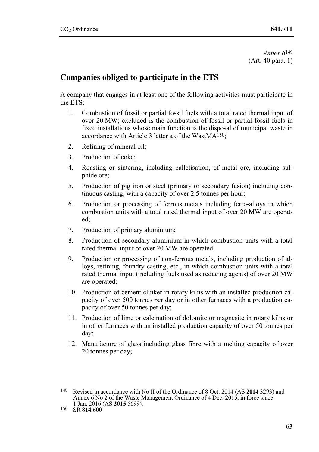*Annex 6*149 (Art. 40 para. 1)

# **Companies obliged to participate in the ETS**

A company that engages in at least one of the following activities must participate in the ETS:

- 1. Combustion of fossil or partial fossil fuels with a total rated thermal input of over 20 MW; excluded is the combustion of fossil or partial fossil fuels in fixed installations whose main function is the disposal of municipal waste in accordance with Article 3 letter a of the Wast $MA^{\hat{1}50}$
- 2. Refining of mineral oil;
- 3. Production of coke;
- 4. Roasting or sintering, including palletisation, of metal ore, including sulphide ore;
- 5. Production of pig iron or steel (primary or secondary fusion) including continuous casting, with a capacity of over 2.5 tonnes per hour;
- 6. Production or processing of ferrous metals including ferro-alloys in which combustion units with a total rated thermal input of over 20 MW are operated;
- 7. Production of primary aluminium;
- 8. Production of secondary aluminium in which combustion units with a total rated thermal input of over 20 MW are operated;
- 9. Production or processing of non-ferrous metals, including production of alloys, refining, foundry casting, etc., in which combustion units with a total rated thermal input (including fuels used as reducing agents) of over 20 MW are operated;
- 10. Production of cement clinker in rotary kilns with an installed production capacity of over 500 tonnes per day or in other furnaces with a production capacity of over 50 tonnes per day;
- 11. Production of lime or calcination of dolomite or magnesite in rotary kilns or in other furnaces with an installed production capacity of over 50 tonnes per day;
- 12. Manufacture of glass including glass fibre with a melting capacity of over 20 tonnes per day;

<sup>149</sup> Revised in accordance with No II of the Ordinance of 8 Oct. 2014 (AS **2014** 3293) and Annex 6 No 2 of the Waste Management Ordinance of 4 Dec. 2015, in force since 1 Jan. 2016 (AS **2015** 5699). 150 SR **814.600**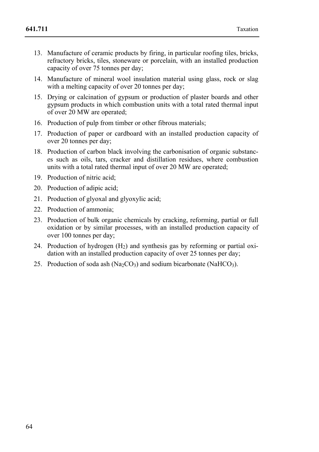- 13. Manufacture of ceramic products by firing, in particular roofing tiles, bricks, refractory bricks, tiles, stoneware or porcelain, with an installed production capacity of over 75 tonnes per day;
- 14. Manufacture of mineral wool insulation material using glass, rock or slag with a melting capacity of over 20 tonnes per day;
- 15. Drying or calcination of gypsum or production of plaster boards and other gypsum products in which combustion units with a total rated thermal input of over 20 MW are operated;
- 16. Production of pulp from timber or other fibrous materials;
- 17. Production of paper or cardboard with an installed production capacity of over 20 tonnes per day;
- 18. Production of carbon black involving the carbonisation of organic substances such as oils, tars, cracker and distillation residues, where combustion units with a total rated thermal input of over 20 MW are operated;
- 19. Production of nitric acid;
- 20. Production of adipic acid:
- 21. Production of glyoxal and glyoxylic acid;
- 22. Production of ammonia;
- 23. Production of bulk organic chemicals by cracking, reforming, partial or full oxidation or by similar processes, with an installed production capacity of over 100 tonnes per day;
- 24. Production of hydrogen (H2) and synthesis gas by reforming or partial oxidation with an installed production capacity of over 25 tonnes per day;
- 25. Production of soda ash  $(Na_2CO_3)$  and sodium bicarbonate  $(NaHCO_3)$ .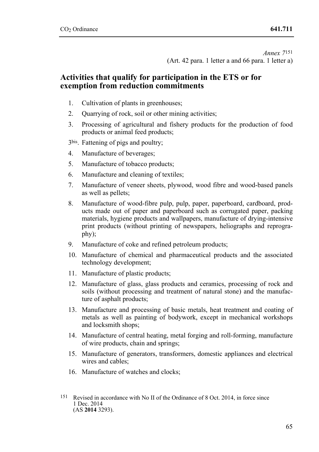*Annex 7*151 (Art. 42 para. 1 letter a and 66 para. 1 letter a)

## **Activities that qualify for participation in the ETS or for exemption from reduction commitments**

- 1. Cultivation of plants in greenhouses;
- 2. Quarrying of rock, soil or other mining activities;
- 3. Processing of agricultural and fishery products for the production of food products or animal feed products;
- 3bis. Fattening of pigs and poultry;
- 4. Manufacture of beverages;
- 5. Manufacture of tobacco products;
- 6. Manufacture and cleaning of textiles;
- 7. Manufacture of veneer sheets, plywood, wood fibre and wood-based panels as well as pellets;
- 8. Manufacture of wood-fibre pulp, pulp, paper, paperboard, cardboard, products made out of paper and paperboard such as corrugated paper, packing materials, hygiene products and wallpapers, manufacture of drying-intensive print products (without printing of newspapers, heliographs and reprography);
- 9. Manufacture of coke and refined petroleum products;
- 10. Manufacture of chemical and pharmaceutical products and the associated technology development;
- 11. Manufacture of plastic products;
- 12. Manufacture of glass, glass products and ceramics, processing of rock and soils (without processing and treatment of natural stone) and the manufacture of asphalt products;
- 13. Manufacture and processing of basic metals, heat treatment and coating of metals as well as painting of bodywork, except in mechanical workshops and locksmith shops;
- 14. Manufacture of central heating, metal forging and roll-forming, manufacture of wire products, chain and springs;
- 15. Manufacture of generators, transformers, domestic appliances and electrical wires and cables:
- 16. Manufacture of watches and clocks;
- 151 Revised in accordance with No II of the Ordinance of 8 Oct. 2014, in force since 1 Dec. 2014 (AS **2014** 3293).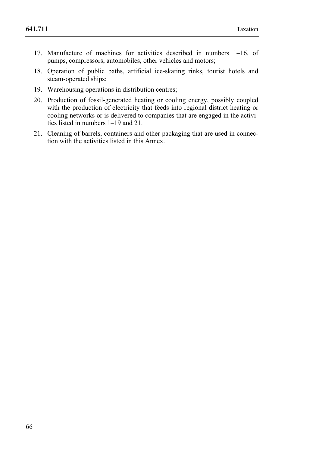- 17. Manufacture of machines for activities described in numbers 1–16, of pumps, compressors, automobiles, other vehicles and motors;
- 18. Operation of public baths, artificial ice-skating rinks, tourist hotels and steam-operated ships;
- 19. Warehousing operations in distribution centres;
- 20. Production of fossil-generated heating or cooling energy, possibly coupled with the production of electricity that feeds into regional district heating or cooling networks or is delivered to companies that are engaged in the activities listed in numbers 1–19 and 21.
- 21. Cleaning of barrels, containers and other packaging that are used in connection with the activities listed in this Annex.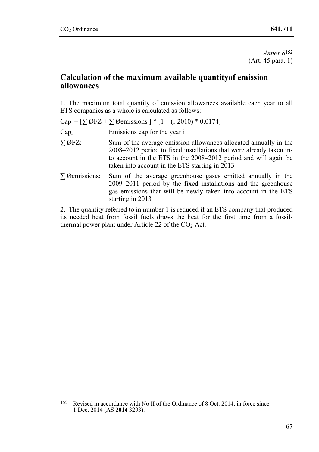*Annex 8*152 (Art. 45 para. 1)

## **Calculation of the maximum available quantityof emission allowances**

1. The maximum total quantity of emission allowances available each year to all ETS companies as a whole is calculated as follows:

|                      | Cap <sub>i</sub> = $[\sum \emptyset$ FZ + $\sum \emptyset$ emissions $]$ * $[1 - (i-2010)$ * 0.0174]                                                                                                                                                         |
|----------------------|--------------------------------------------------------------------------------------------------------------------------------------------------------------------------------------------------------------------------------------------------------------|
| Cap <sub>i</sub>     | Emissions cap for the year i                                                                                                                                                                                                                                 |
| $\Sigma$ ØFZ:        | Sum of the average emission allowances allocated annually in the<br>2008–2012 period to fixed installations that were already taken in-<br>to account in the ETS in the 2008–2012 period and will again be<br>taken into account in the ETS starting in 2013 |
| $\Sigma$ Øemissions: | Sum of the average greenhouse gases emitted annually in the<br>$2009-2011$ period by the fixed installations and the greenhouse<br>gas emissions that will be newly taken into account in the ETS<br>starting in 2013                                        |

2. The quantity referred to in number 1 is reduced if an ETS company that produced its needed heat from fossil fuels draws the heat for the first time from a fossilthermal power plant under Article 22 of the  $CO<sub>2</sub>$  Act.

 152 Revised in accordance with No II of the Ordinance of 8 Oct. 2014, in force since 1 Dec. 2014 (AS **2014** 3293).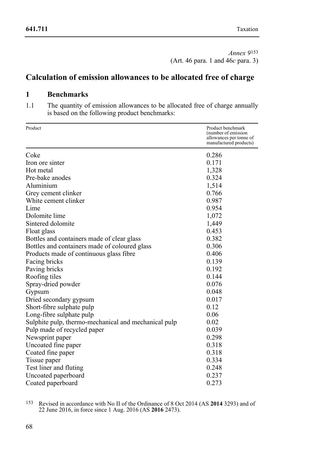*Annex 9*153 (Art. 46 para. 1 and 46*c* para. 3)

# **Calculation of emission allowances to be allocated free of charge**

## **1 Benchmarks**

1.1 The quantity of emission allowances to be allocated free of charge annually is based on the following product benchmarks:

| Product                                              | Product benchmark<br>(number of emission          |
|------------------------------------------------------|---------------------------------------------------|
|                                                      | allowances per tonne of<br>manufactured products) |
| Coke                                                 | 0.286                                             |
| Iron ore sinter                                      | 0.171                                             |
| Hot metal                                            | 1,328                                             |
| Pre-bake anodes                                      | 0.324                                             |
| Aluminium                                            | 1,514                                             |
| Grey cement clinker                                  | 0.766                                             |
| White cement clinker                                 | 0.987                                             |
| Lime                                                 | 0.954                                             |
| Dolomite lime                                        | 1,072                                             |
| Sintered dolomite                                    | 1,449                                             |
| Float glass                                          | 0.453                                             |
| Bottles and containers made of clear glass           | 0.382                                             |
| Bottles and containers made of coloured glass        | 0.306                                             |
| Products made of continuous glass fibre              | 0.406                                             |
| Facing bricks                                        | 0.139                                             |
| Paving bricks                                        | 0.192                                             |
| Roofing tiles                                        | 0.144                                             |
| Spray-dried powder                                   | 0.076                                             |
| Gypsum                                               | 0.048                                             |
| Dried secondary gypsum                               | 0.017                                             |
| Short-fibre sulphate pulp                            | 0.12                                              |
| Long-fibre sulphate pulp                             | 0.06                                              |
| Sulphite pulp, thermo-mechanical and mechanical pulp | 0.02                                              |
| Pulp made of recycled paper                          | 0.039                                             |
| Newsprint paper                                      | 0.298                                             |
| Uncoated fine paper                                  | 0.318                                             |
| Coated fine paper                                    | 0.318                                             |
| Tissue paper                                         | 0.334                                             |
| Test liner and fluting                               | 0.248                                             |
| Uncoated paperboard                                  | 0.237                                             |
| Coated paperboard                                    | 0.273                                             |

<sup>153</sup> 153 Revised in accordance with No II of the Ordinance of 8 Oct 2014 (AS **2014** 3293) and of 22 June 2016, in force since 1 Aug. 2016 (AS **2016** 2473).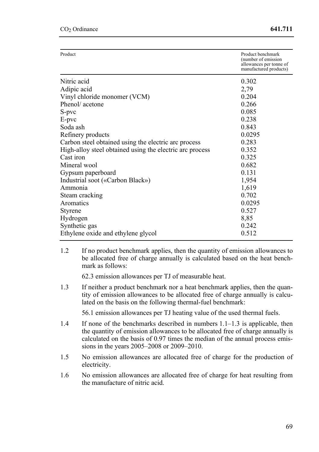| Product                                                  | Product benchmark<br>(number of emission<br>allowances per tonne of<br>manufactured products) |
|----------------------------------------------------------|-----------------------------------------------------------------------------------------------|
| Nitric acid                                              | 0.302                                                                                         |
| Adipic acid                                              | 2,79                                                                                          |
| Vinyl chloride monomer (VCM)                             | 0.204                                                                                         |
| Phenol/acetone                                           | 0.266                                                                                         |
| S-pvc                                                    | 0.085                                                                                         |
| E-pvc                                                    | 0.238                                                                                         |
| Soda ash                                                 | 0.843                                                                                         |
| Refinery products                                        | 0.0295                                                                                        |
| Carbon steel obtained using the electric arc process     | 0.283                                                                                         |
| High-alloy steel obtained using the electric arc process | 0.352                                                                                         |
| Cast iron                                                | 0.325                                                                                         |
| Mineral wool                                             | 0.682                                                                                         |
| Gypsum paperboard                                        | 0.131                                                                                         |
| Industrial soot («Carbon Black»)                         | 1,954                                                                                         |
| Ammonia                                                  | 1,619                                                                                         |
| Steam cracking                                           | 0.702                                                                                         |
| Aromatics                                                | 0.0295                                                                                        |
| Styrene                                                  | 0.527                                                                                         |
| Hydrogen                                                 | 8,85                                                                                          |
| Synthetic gas                                            | 0.242                                                                                         |
| Ethylene oxide and ethylene glycol                       | 0.512                                                                                         |

1.2 If no product benchmark applies, then the quantity of emission allowances to be allocated free of charge annually is calculated based on the heat benchmark as follows:

62.3 emission allowances per TJ of measurable heat.

1.3 If neither a product benchmark nor a heat benchmark applies, then the quantity of emission allowances to be allocated free of charge annually is calculated on the basis on the following thermal-fuel benchmark:

56.1 emission allowances per TJ heating value of the used thermal fuels.

- 1.4 If none of the benchmarks described in numbers 1.1–1.3 is applicable, then the quantity of emission allowances to be allocated free of charge annually is calculated on the basis of 0.97 times the median of the annual process emissions in the years 2005–2008 or 2009–2010.
- 1.5 No emission allowances are allocated free of charge for the production of electricity.
- 1.6 No emission allowances are allocated free of charge for heat resulting from the manufacture of nitric acid.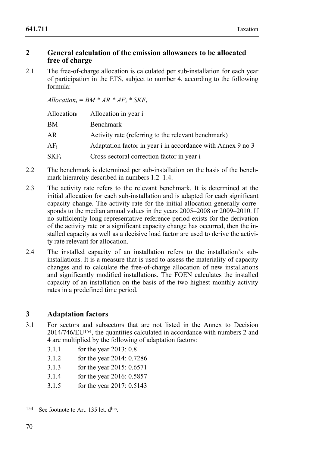#### **2 General calculation of the emission allowances to be allocated free of charge**

2.1 The free-of-charge allocation is calculated per sub-installation for each year of participation in the ETS, subject to number 4, according to the following formula:

 $A$ *llocation<sub>i</sub>* =  $BM$  \*  $AR$  \*  $AF_i$  \*  $SKF_i$ 

| Allocationi | Allocation in year i                                        |
|-------------|-------------------------------------------------------------|
| BМ          | Benchmark                                                   |
| AR          | Activity rate (referring to the relevant benchmark)         |
| AFi         | Adaptation factor in year i in accordance with Annex 9 no 3 |
| SKF:        | Cross-sectoral correction factor in year i                  |

- 2.2 The benchmark is determined per sub-installation on the basis of the benchmark hierarchy described in numbers 1.2–1.4.
- 2.3 The activity rate refers to the relevant benchmark. It is determined at the initial allocation for each sub-installation and is adapted for each significant capacity change. The activity rate for the initial allocation generally corresponds to the median annual values in the years 2005–2008 or 2009–2010. If no sufficiently long representative reference period exists for the derivation of the activity rate or a significant capacity change has occurred, then the installed capacity as well as a decisive load factor are used to derive the activity rate relevant for allocation.
- 2.4 The installed capacity of an installation refers to the installation's subinstallations. It is a measure that is used to assess the materiality of capacity changes and to calculate the free-of-charge allocation of new installations and significantly modified installations. The FOEN calculates the installed capacity of an installation on the basis of the two highest monthly activity rates in a predefined time period.

## **3 Adaptation factors**

- 3.1 For sectors and subsectors that are not listed in the Annex to Decision 2014/746/EU154, the quantities calculated in accordance with numbers 2 and 4 are multiplied by the following of adaptation factors:
	- 3.1.1 for the year 2013: 0.8
	- 3.1.2 for the year 2014: 0.7286
	- 3.1.3 for the year 2015: 0.6571
	- 3.1.4 for the year 2016: 0.5857
	- 3.1.5 for the year 2017: 0.5143
- 154 See footnote to Art. 135 let. dbis.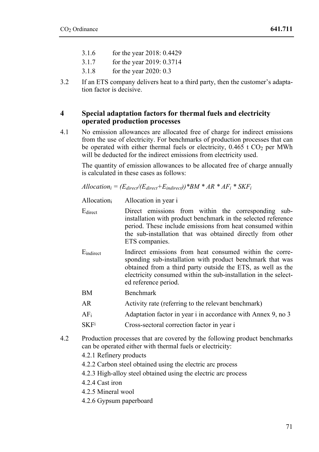- 3.1.6 for the year 2018: 0.4429
- 3.1.7 for the year 2019: 0.3714
- 3.1.8 for the year 2020: 0.3
- 3.2 If an ETS company delivers heat to a third party, then the customer's adaptation factor is decisive.

#### **4 Special adaptation factors for thermal fuels and electricity operated production processes**

4.1 No emission allowances are allocated free of charge for indirect emissions from the use of electricity. For benchmarks of production processes that can be operated with either thermal fuels or electricity,  $0.465$  t CO<sub>2</sub> per MWh will be deducted for the indirect emissions from electricity used.

The quantity of emission allowances to be allocated free of charge annually is calculated in these cases as follows:

 $A$ *llocation<sub>i</sub>* =  $(E_{direct}/(E_{direct}+E_{indirect}))$ <sup>\*</sup> $BM$ <sup>\*</sup> $AR$ <sup>\*</sup> $AF_i$ <sup>\*</sup> $SKF_i$ 

Allocationi Allocation in year i

- Edirect Direct emissions from within the corresponding subinstallation with product benchmark in the selected reference period. These include emissions from heat consumed within the sub-installation that was obtained directly from other ETS companies.
- Eindirect Indirect emissions from heat consumed within the corresponding sub-installation with product benchmark that was obtained from a third party outside the ETS, as well as the electricity consumed within the sub-installation in the selected reference period.
- BM Benchmark
- AR Activity rate (referring to the relevant benchmark)
- $AF<sub>i</sub>$  Adaptation factor in year i in accordance with Annex 9, no 3
- SKFi Cross-sectoral correction factor in year i
- 4.2 Production processes that are covered by the following product benchmarks can be operated either with thermal fuels or electricity:
	- 4.2.1 Refinery products
	- 4.2.2 Carbon steel obtained using the electric arc process
	- 4.2.3 High-alloy steel obtained using the electric arc process
	- 4.2.4 Cast iron
	- 4.2.5 Mineral wool
	- 4.2.6 Gypsum paperboard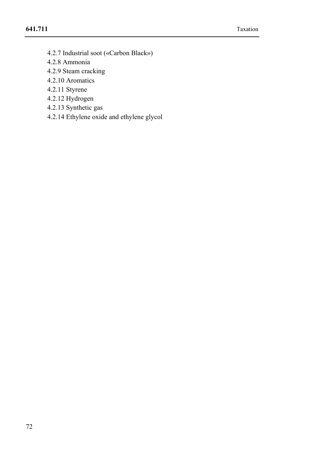- 4.2.7 Industrial soot («Carbon Black»)
- 4.2.8 Ammonia
- 4.2.9 Steam cracking
- 4.2.10 Aromatics
- 4.2.11 Styrene
- 4.2.12 Hydrogen
- 4.2.13 Synthetic gas
- 4.2.14 Ethylene oxide and ethylene glycol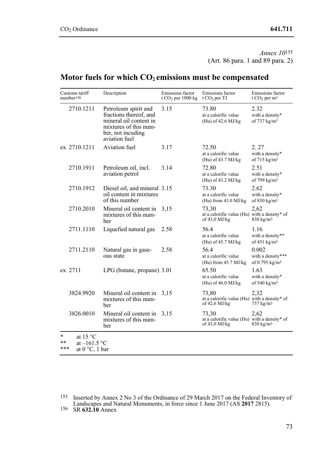*Annex 10*155 (Art. 86 para. 1 and 89 para. 2)

## Motor fuels for which  $CO<sub>2</sub>$  emissions must be compensated

| Customs tariff<br>number <sup>156</sup> | Description                                                                                                                             | Emissions factor<br>t CO <sub>2</sub> per $1000 \text{ kg}$ | Emissions factor<br>t $CO2$ per TJ                                       | Emissions factor<br>t $CO2$ per m <sup>3</sup>           |
|-----------------------------------------|-----------------------------------------------------------------------------------------------------------------------------------------|-------------------------------------------------------------|--------------------------------------------------------------------------|----------------------------------------------------------|
| 2710.1211                               | Petroleum spirit and<br>fractions thereof, and<br>mineral oil content in<br>mixtures of this num-<br>ber, not incuding<br>aviation fuel | 3.15                                                        | 73.80<br>at a calorific value<br>(Hu) of 42.6 MJ/kg                      | 2.32<br>with a density*<br>of 737 kg/m <sup>3</sup>      |
| ex 2710.1211                            | Aviation fuel                                                                                                                           | 3.17                                                        | 72.50<br>at a calorific value<br>(Hu) of 43.7 MJ/kg                      | 2.27<br>with a density*<br>of 715 kg/m <sup>3</sup>      |
| 2710.1911                               | Petroleum oil, incl.<br>aviation petrol                                                                                                 | 3.14                                                        | 72.80<br>at a calorific value<br>(Hu) of 43.2 MJ/kg                      | 2.51<br>with a density*<br>of 799 kg/m <sup>3</sup>      |
| 2710.1912                               | Diesel oil, and mineral 3.15<br>oil content in mixtures<br>of this number                                                               |                                                             | 73.30<br>at a calorific value<br>(Hu) from $43.0$ MJ/kg                  | 2.62<br>with a density*<br>of 830 kg/m <sup>3</sup>      |
| 2710.2010                               | Mineral oil content in<br>mixtures of this num-<br>ber                                                                                  | 3.15                                                        | 73.30<br>at a calorific value (Hu) with a density* of<br>of 43,0 MJ/kg   | 2.62<br>830 kg/m <sup>3</sup>                            |
| 2711.1110                               | Liquefied natural gas                                                                                                                   | 2.58                                                        | 56.4<br>at a calorific value<br>(Hu) of 45.7 MJ/kg                       | 1.16<br>with a density**<br>of $451$ kg/m <sup>3</sup>   |
| 2711.2110                               | Natural gas in gase-<br>ous state                                                                                                       | 2.58                                                        | 56.4<br>at a calorific value<br>(Hu) from 45.7 MJ/kg                     | 0.002<br>with a density***<br>of 0.795 kg/m <sup>3</sup> |
| ex 2711                                 | LPG (butane, propane) 3.01                                                                                                              |                                                             | 65.50<br>at a calorific value<br>(Hu) of 46.0 MJ/kg                      | 1.63<br>with a density*<br>of 540 $kg/m3$                |
| 3824.9920                               | Mineral oil content in<br>mixtures of this num-<br>ber                                                                                  | 3,15                                                        | 73,80<br>at a calorific value (Hu) with a density* of<br>of $42,6$ MJ/kg | 2,32<br>737 kg/m <sup>3</sup>                            |
| 3826.0010                               | Mineral oil content in<br>mixtures of this num-<br>ber                                                                                  | 3.15                                                        | 73,30<br>at a calorific value (Hu) with a density* of<br>of $43.0$ MJ/kg | 2,62<br>$830 \text{ kg/m}^3$                             |

 155 Inserted by Annex 2 No 3 of the Ordinance of 29 March 2017 on the Federal Inventory of Landscapes and Natural Monuments, in force since 1 June 2017 (AS **2017** 2815). 156 SR **632.10** Annex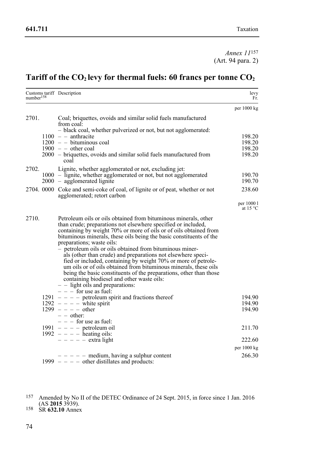*Annex 11*157 (Art. 94 para. 2)

## Tariff of the CO<sub>2</sub> levy for thermal fuels: 60 francs per tonne CO<sub>2</sub>

| number <sup>158</sup> |                                                                                                                                                                                                                                                                                                           | Customs tariff Description                                                                                                                                                                                                                                                                                                                                                         | levy<br>Fr.      |
|-----------------------|-----------------------------------------------------------------------------------------------------------------------------------------------------------------------------------------------------------------------------------------------------------------------------------------------------------|------------------------------------------------------------------------------------------------------------------------------------------------------------------------------------------------------------------------------------------------------------------------------------------------------------------------------------------------------------------------------------|------------------|
|                       |                                                                                                                                                                                                                                                                                                           |                                                                                                                                                                                                                                                                                                                                                                                    | per 1000 kg      |
| 2701.                 |                                                                                                                                                                                                                                                                                                           | Coal; briquettes, ovoids and similar solid fuels manufactured<br>from coal:                                                                                                                                                                                                                                                                                                        |                  |
|                       |                                                                                                                                                                                                                                                                                                           | - black coal, whether pulverized or not, but not agglomerated:<br>$1100 - \text{anthracite}$                                                                                                                                                                                                                                                                                       | 198.20           |
|                       |                                                                                                                                                                                                                                                                                                           | $1200 -$ bituminous coal                                                                                                                                                                                                                                                                                                                                                           | 198.20           |
|                       |                                                                                                                                                                                                                                                                                                           | $1900 - \text{other coal}$                                                                                                                                                                                                                                                                                                                                                         | 198.20           |
|                       |                                                                                                                                                                                                                                                                                                           | 2000 – briquettes, ovoids and similar solid fuels manufactured from<br>coal                                                                                                                                                                                                                                                                                                        | 198.20           |
| 2702.                 |                                                                                                                                                                                                                                                                                                           | Lignite, whether agglomerated or not, excluding jet:                                                                                                                                                                                                                                                                                                                               |                  |
|                       |                                                                                                                                                                                                                                                                                                           | 1000 – lignite, whether agglomerated or not, but not agglomerated<br>$2000 -$ agglomerated lignite                                                                                                                                                                                                                                                                                 | 190.70<br>190.70 |
|                       |                                                                                                                                                                                                                                                                                                           | 2704. 0000 Coke and semi-coke of coal, of lignite or of peat, whether or not<br>agglomerated; retort carbon                                                                                                                                                                                                                                                                        | 238.60           |
|                       |                                                                                                                                                                                                                                                                                                           | per 1000 l<br>at $15^{\circ}$ C                                                                                                                                                                                                                                                                                                                                                    |                  |
| 2710.                 | Petroleum oils or oils obtained from bituminous minerals, other<br>than crude; preparations not elsewhere specified or included,<br>containing by weight 70% or more of oils or of oils obtained from<br>bituminous minerals, these oils being the basic constituents of the<br>preparations; waste oils: |                                                                                                                                                                                                                                                                                                                                                                                    |                  |
|                       |                                                                                                                                                                                                                                                                                                           | - petroleum oils or oils obtained from bituminous miner-<br>als (other than crude) and preparations not elsewhere speci-<br>fied or included, containing by weight 70% or more of petrole-<br>um oils or of oils obtained from bituminous minerals, these oils<br>being the basic constituents of the preparations, other than those<br>containing biodiesel and other waste oils: |                  |
|                       |                                                                                                                                                                                                                                                                                                           | $-$ - light oils and preparations:                                                                                                                                                                                                                                                                                                                                                 |                  |
|                       |                                                                                                                                                                                                                                                                                                           | $- - -$ for use as fuel:<br>$1291 - - -$ petroleum spirit and fractions thereof                                                                                                                                                                                                                                                                                                    | 194.90           |
|                       |                                                                                                                                                                                                                                                                                                           | $1292 - - -$ white spirit                                                                                                                                                                                                                                                                                                                                                          | 194.90           |
|                       | $1299 - - - -$ other                                                                                                                                                                                                                                                                                      | 194.90                                                                                                                                                                                                                                                                                                                                                                             |                  |
|                       |                                                                                                                                                                                                                                                                                                           | $- -$ other:                                                                                                                                                                                                                                                                                                                                                                       |                  |
|                       |                                                                                                                                                                                                                                                                                                           | $- -$ for use as fuel:<br>1991 $-$ - $-$ petroleum oil                                                                                                                                                                                                                                                                                                                             | 211.70           |
|                       |                                                                                                                                                                                                                                                                                                           | $1992 - - -$ heating oils:                                                                                                                                                                                                                                                                                                                                                         |                  |
|                       |                                                                                                                                                                                                                                                                                                           | $- - - -$ extra light                                                                                                                                                                                                                                                                                                                                                              | 222.60           |
|                       |                                                                                                                                                                                                                                                                                                           |                                                                                                                                                                                                                                                                                                                                                                                    | per 1000 kg      |
|                       |                                                                                                                                                                                                                                                                                                           | $- - - -$ medium, having a sulphur content<br>$1999 - - -$ other distillates and products:                                                                                                                                                                                                                                                                                         | 266.30           |

 157 Amended by No II of the DETEC Ordinance of 24 Sept. 2015, in force since 1 Jan. 2016 (AS **2015** 3939). 158 SR **632.10** Annex